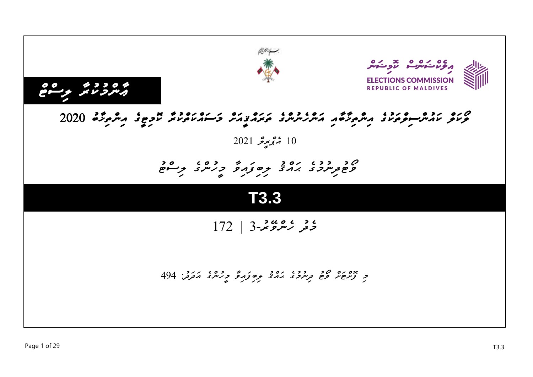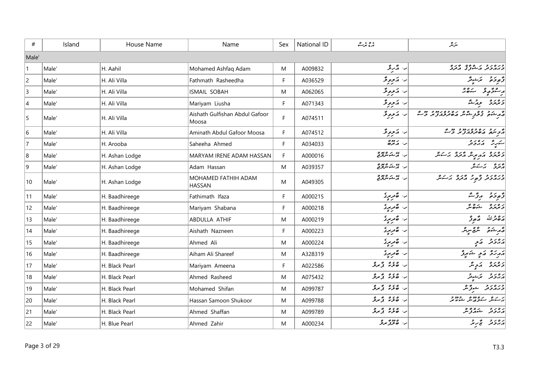| #               | Island | House Name     | Name                                    | Sex       | National ID | ، ه ، بر <u>م</u>                     | ىئرىتر                                                                                                         |
|-----------------|--------|----------------|-----------------------------------------|-----------|-------------|---------------------------------------|----------------------------------------------------------------------------------------------------------------|
| Male'           |        |                |                                         |           |             |                                       |                                                                                                                |
|                 | Male'  | H. Aahil       | Mohamed Ashfaq Adam                     | M         | A009832     | ر. مۇرىخ                              | ورەر دېر دەپە پەرە<br>تەبەر دىكەنى ئەترى                                                                       |
| $\vert$ 2       | Male'  | H. Ali Villa   | Fathmath Rasheedha                      | F         | A036529     | ر. مَعِوِعٌ                           | ۇۋۇۋە ئەجەنگە                                                                                                  |
| $\vert$ 3       | Male'  | H. Ali Villa   | ISMAIL SOBAH                            | M         | A062065     | ر. مَعِرونٌ                           | وستورو بنفذ                                                                                                    |
| $\overline{4}$  | Male'  | H. Ali Villa   | Mariyam Liusha                          | F         | A071343     | ر . مَرْمِومَّ                        | ومده وديم                                                                                                      |
| 5               | Male'  | H. Ali Villa   | Aishath Gulfishan Abdul Gafoor<br>Moosa | F         | A074511     | ر . مَ وَوِ وَّ                       |                                                                                                                |
| $6\overline{6}$ | Male'  | H. Ali Villa   | Aminath Abdul Gafoor Moosa              | F         | A074512     | ر . مَرْمُومَّ                        | ם גב גם בסגבב בבית.<br>הכיתם, הסתיבה ציביה                                                                     |
| 17              | Male'  | H. Arooba      | Saheeha Ahmed                           | F         | A034033     | ر دود.<br>ر بر برخ                    | سكرر ورود                                                                                                      |
| 8               | Male'  | H. Ashan Lodge | MARYAM IRENE ADAM HASSAN                | F         | A000016     | ر. پم شه مروم ه                       | גם גם התתייל הינים גביל.<br>כמינים התתייל הינים גבילי                                                          |
| $ 9\rangle$     | Male'  | H. Ashan Lodge | Adam Hassan                             | M         | A039357     | ر. " شەھرىيىدە                        | ۇرۇ بەسەر                                                                                                      |
| $ 10\rangle$    | Male'  | H. Ashan Lodge | MOHAMED FATHIH ADAM<br><b>HASSAN</b>    | ${\sf M}$ | A049305     | ر. " شەھەدە                           | ورەرد و د دره ر ره                                                                                             |
| 11              | Male'  | H. Baadhireege | Fathimath Ifaza                         | F         | A000215     | ر. گ <sup>ە</sup> ترىرى <sup>تى</sup> | ۇ <sub>م</sub> ودۇ رۇش                                                                                         |
| 12              | Male'  | H. Baadhireege | Mariyam Shabana                         | F         | A000218     | ر. گ <sup>ە</sup> ترىرى <sup>5</sup>  | رەرە شەھىر                                                                                                     |
| 13              | Male'  | H. Baadhireege | ABDULLA ATHIF                           | ${\sf M}$ | A000219     | ر. ځېږيږي<br>ر                        | صصرالله<br>رچم و                                                                                               |
| 14              | Male'  | H. Baadhireege | Aishath Nazneen                         | F         | A000223     | ر. گ <sup>ە</sup> ترىرى <sup>5</sup>  | ۇرشۇق سىتى بېرىش                                                                                               |
| 15              | Male'  | H. Baadhireege | Ahmed Ali                               | M         | A000224     | ر . ځېږيږي<br>م                       | ړ ور د کمنې                                                                                                    |
| 16              | Male'  | H. Baadhireege | Aiham Ali Shareef                       | ${\sf M}$ | A328319     | ر. گەرىرىگى<br>ر                      | مەر ئەھمىي ئىستى ئىستى ئىستى ئىستى ئىستى ئىستى ئىستان ئىشتا ئىشتا ئىشتا ئىشتا ئىشتا ئىشتا ئىشتا ئىشتا ئىشتا ئى |
| 17              | Male'  | H. Black Pearl | Mariyam Ameena                          | F         | A022586     | ر. ھۈن بۇيرۇ                          | د ۱۳۵ مرح مرکز                                                                                                 |
| 18              | Male'  | H. Black Pearl | Ahmed Rasheed                           | M         | A075432     | ھۈن گەيۋ                              | رەرە بەيدۇ                                                                                                     |
| 19              | Male'  | H. Black Pearl | Mohamed Shifan                          | M         | A099787     | ر. ھۆل بۇيرۇ                          | ورەرو جوگىر                                                                                                    |
| 20              | Male'  | H. Black Pearl | Hassan Samoon Shukoor                   | M         | A099788     | ر. ھۈر بۇيرۇ                          | ي کرمل کروژو در دور د                                                                                          |
| 21              | Male'  | H. Black Pearl | Ahmed Shaffan                           | M         | A099789     | ر. ھۈس تۇيرۇ                          | رەرد بەەپ ھ<br>مەرىر شەم <i>ۇ</i> س                                                                            |
| 22              | Male'  | H. Blue Pearl  | Ahmed Zahir                             | M         | A000234     | ر. ھۆژىرۇ                             | رەرو ئېرىر                                                                                                     |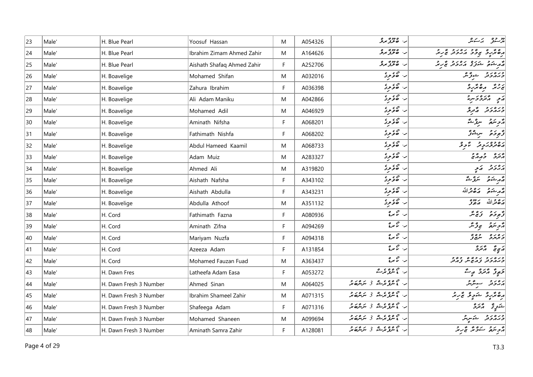| 23 | Male' | H. Blue Pearl          | Yoosuf Hassan              | M         | A054326 | ر. ھيونج برو               | <mark>برجو</mark> برسەملە                                    |
|----|-------|------------------------|----------------------------|-----------|---------|----------------------------|--------------------------------------------------------------|
| 24 | Male' | H. Blue Pearl          | Ibrahim Zimam Ahmed Zahir  | ${\sf M}$ | A164626 | ر. 250° پرو                | وه محرره برود و دورو محرم                                    |
| 25 | Male' | H. Blue Pearl          | Aishath Shafaq Ahmed Zahir | F         | A252706 | ر. ھوڙىرو                  | قرم المستوفر والمستقبل المحرمة                               |
| 26 | Male' | H. Boavelige           | Mohamed Shifan             | M         | A032016 | ر. ھء وي                   | ورەرو جوگىر                                                  |
| 27 | Male' | H. Boavelige           | Zahura Ibrahim             | F         | A036398 | ر، ھۇمور                   | يرحمه مقبره                                                  |
| 28 | Male' | H. Boavelige           | Ali Adam Maniku            | ${\sf M}$ | A042866 | ر، ھۇمبرى                  | ב התכלית                                                     |
| 29 | Male' | H. Boavelige           | Mohamed Adil               | M         | A046929 | ر، ھۇمرى                   | ورەر د ئەرۋ                                                  |
| 30 | Male' | H. Boavelige           | Aminath Nifsha             | F         | A068201 | ر، صح و <sup>ج</sup>       | أروسكم سروسة                                                 |
| 31 | Male' | H. Boavelige           | Fathimath Nishfa           | F         | A068202 | $rac{c}{5550}$             | أَدْجِرْهُ مِنْ مِنْ رَبُّ                                   |
| 32 | Male' | H. Boavelige           | Abdul Hameed Kaamil        | ${\sf M}$ | A068733 | $rac{c}{5550}$             | ره وه ر د گروگر                                              |
| 33 | Male' | H. Boavelige           | Adam Muiz                  | M         | A283327 | ربه چې په                  | בנים כנסיב                                                   |
| 34 | Male' | H. Boavelige           | Ahmed Ali                  | M         | A319820 | ر، ھوڃو                    | پروژو کرم                                                    |
| 35 | Male' | H. Boavelige           | Aishath Nafsha             | F         | A343102 | ر، ھۇمى                    | ۇرىشكى تىرى.<br>مەرىشكى تىرىش                                |
| 36 | Male' | H. Boavelige           | Aishath Abdulla            | F         | A343231 | ر، ھۇمرى                   | صمر مندم صكر الله                                            |
| 37 | Male' | H. Boavelige           | Abdulla Athoof             | ${\sf M}$ | A351132 | ر. ھوڃو                    | پر <b>ص</b> عر الله<br>ر دد ه<br>در جو گ                     |
| 38 | Male' | H. Cord                | Fathimath Fazna            | F         | A080936 | بندع بيده                  | أزَّبوحَ بَرَ وَسَمَّد                                       |
| 39 | Male' | H. Cord                | Aminath Zifna              | F         | A094269 | ر. نۇپرو                   | أژحر سَمَع و سَر                                             |
| 40 | Male' | H. Cord                | Mariyam Nuzfa              | F         | A094318 | ر، رويده                   | ر ه ر ه<br>د بربرو<br>سرچ وگ                                 |
| 41 | Male' | H. Cord                | Azeeza Adam                | F         | A131854 | ر، نڈیو ہ                  | كەنى ئەترە                                                   |
| 42 | Male' | H. Cord                | Mohamed Fauzan Fuad        | M         | A363437 | ر، نۇيرو                   | ور ه ر و بر و په ه و په و<br>د بر بر حد تر و مخ س تر و تر تر |
| 43 | Male' | H. Dawn Fres           | Latheefa Adam Easa         | F         | A053272 | ر، ع عرو ع ع               | تَهُوِرٌ الْمُعْرَفِ الْمُحْبَّ                              |
| 44 | Male' | H. Dawn Fresh 3 Number | Ahmed Sinan                | M         | A064025 | ر. ؟ مرو عرفت 3 الكرمزي مر | رەرد سەئەر                                                   |
| 45 | Male' | H. Dawn Fresh 3 Number | Ibrahim Shameel Zahir      | ${\sf M}$ | A071315 | ر، مېمورو 3 مرموم د        | أرەڭرىر ئىستوپ ئىر                                           |
| 46 | Male' | H. Dawn Fresh 3 Number | Shafeega Adam              | F         | A071316 | ر. ؟ مرو عرف 3 الكرمرة من  | شَرَرٍ يَثْرَ الرَّمَرَدُ                                    |
| 47 | Male' | H. Dawn Fresh 3 Number | Mohamed Shaneen            | ${\sf M}$ | A099694 | ر، مېمورو 3 مرمومر         | ورەرو شەرىر                                                  |
| 48 | Male' | H. Dawn Fresh 3 Number | Aminath Samra Zahir        | F         | A128081 | ر. جمعو ترکھ 3 سرچرچ پر    | أأروسهم سووس مجرس                                            |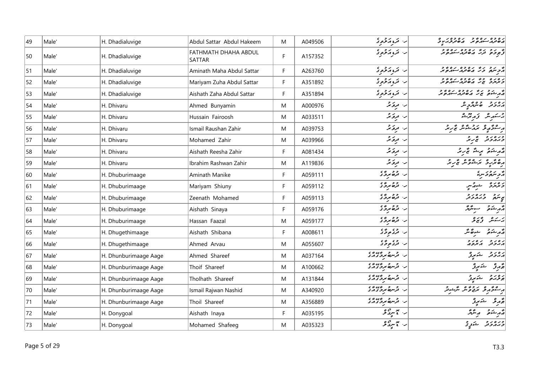| 49 | Male' | H. Dhadialuvige       | Abdul Sattar Abdul Hakeem      | M  | A049506 | ر . مگروگروگروگر                           | נס כם נסמיכי נסיפינים<br>הש <i>נה –ח</i> פיני השנ <i>יב</i> ה נ                                               |
|----|-------|-----------------------|--------------------------------|----|---------|--------------------------------------------|---------------------------------------------------------------------------------------------------------------|
| 50 | Male' | H. Dhadialuvige       | FATHMATH DHAHA ABDUL<br>SATTAR | F. | A157352 | ر . مگروگرفروتی                            | ם ני ני נסים נסיים                                                                                            |
| 51 | Male' | H. Dhadialuvige       | Aminath Maha Abdul Sattar      | F  | A263760 | ر . مگروگروگروگر                           | ם גב גם גם כם גם כב<br>גבייתם בל גם נגל המת                                                                   |
| 52 | Male' | H. Dhadialuvige       | Mariyam Zuha Abdul Sattar      | F. | A351892 | ر . مَدْءِ مَرْحْرُهِ جُ                   | נ סנס כדי נסכס נסדיב<br>בזנתב אינ גם נגמי -- ומקיב                                                            |
| 53 | Male' | H. Dhadialuvige       | Aishath Zaha Abdul Sattar      | F. | A351894 | ر مرو پر څور ځ                             |                                                                                                               |
| 54 | Male' | H. Dhivaru            | Ahmed Bunyamin                 | M  | A000976 |                                            | رەرد دەۋر                                                                                                     |
| 55 | Male' | H. Dhivaru            | Hussain Fairoosh               | M  | A033511 |                                            | 2سەر بىر تەرىپرىشە                                                                                            |
| 56 | Male' | H. Dhivaru            | Ismail Raushan Zahir           | M  | A039753 | ر . مرد گر                                 | ر مەۋرو ئەزمۇش ئېرىز                                                                                          |
| 57 | Male' | H. Dhivaru            | Mohamed Zahir                  | M  | A039966 | ر . مرد تر                                 |                                                                                                               |
| 58 | Male' | H. Dhivaru            | Aishath Reesha Zahir           | F. | A081434 | ر . مری تر                                 | و المرکز اللہ اللہ کے اللہ کی اللہ کی اللہ کی اللہ کے اللہ کے اللہ کے اللہ کے اللہ کے اللہ کے اللہ کے اللہ کے |
| 59 | Male' | H. Dhivaru            | Ibrahim Rashwan Zahir          | M  | A119836 | ر . مرد تر                                 | مەھەر ئەس ئەر ئەر                                                                                             |
| 60 | Male' | H. Dhuburimaage       | Aminath Manike                 | F  | A059111 | ر. ترەپرۇ ئ                                | أأد سرور سرع                                                                                                  |
| 61 | Male' | H. Dhuburimaage       | Mariyam Shiuny                 | F  | A059112 | ر . وه پروی<br>ر . تر <i>ه پرو</i> ی       | ره ره شور سر                                                                                                  |
| 62 | Male' | H. Dhuburimaage       | Zeenath Mohamed                | F  | A059113 | ر. ترەپروس                                 | و رە ر د<br>تر پر تر تر<br>  پې پېړه                                                                          |
| 63 | Male' | H. Dhuburimaage       | Aishath Sinaya                 | F  | A059176 | ر. ترەپروس                                 | ومرشكو المستر                                                                                                 |
| 64 | Male' | H. Dhuburimaage       | Hassan Faazal                  | M  | A059177 | ر. ترەپرى<br>ر. ترەپرى                     | بر کے شرح تو تھے تو                                                                                           |
| 65 | Male' | H. Dhugethimaage      | Aishath Shibana                | F  | A008611 | ر وه وه<br>ر تروځ و                        | ە ئەس ئىدە ئىر                                                                                                |
| 66 | Male' | H. Dhugethimaage      | Ahmed Arvau                    | M  | A055607 | ر . و ، و » ،<br>ر . ترد <sub>مر</sub> و د | גפגב גםגב<br>הגבע הבפה                                                                                        |
| 67 | Male' | H. Dhunburimaage Aage | Ahmed Shareef                  | M  | A037164 | ה <sub>ה</sub><br>המיש <i>ם תביב ה</i> ז   | پره رو په ستمبرو                                                                                              |
| 68 | Male' | H. Dhunburimaage Aage | Thoif Shareef                  | M  | A100662 | ה <sub>ב</sub> ריינ <i>ם ת</i> בזמי        | ۾ پرو خوندو                                                                                                   |
| 69 | Male' | H. Dhunburimaage Aage | Tholhath Shareef               | M  | A131844 | ر . ترسمهٔ پروی دی<br>ر . ترسمهٔ پروی دی   | پره پر په شوموړ                                                                                               |
| 70 | Male' | H. Dhunburimaage Aage | Ismail Rajwan Nashid           | M  | A340920 | ה <sub>ב</sub> ריינ <i>ם ת</i> בזמי        | و صحيح و حرم عرض مگر شود ک                                                                                    |
| 71 | Male' | H. Dhunburimaage Aage | Thoil Shareef                  | M  | A356889 | ر . ترسمهٔ <i>پروی و</i> .<br>در اندران    | ۇرۇ شېرۇ                                                                                                      |
| 72 | Male' | H. Donygoal           | Aishath Inaya                  | F. | A035195 | ر. سمبر صحو                                | و.<br>د کرم شوځ                                                                                               |
| 73 | Male' | H. Donygoal           | Mohamed Shafeeg                | M  | A035323 | ر. سمبر چو                                 | و ره ر و<br>تر پر تر تر<br>ستتوتى                                                                             |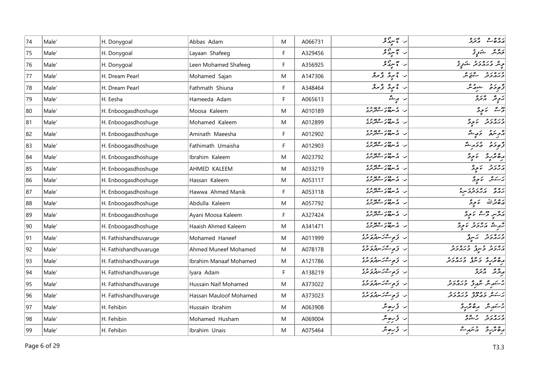| 74           | Male' | H. Donygoal           | Abbas Adam             | M         | A066731 | ر، سمبر صحو                                   | رەپچە شە<br>پور ہ<br>مرکز ژ                      |
|--------------|-------|-----------------------|------------------------|-----------|---------|-----------------------------------------------|--------------------------------------------------|
| 75           | Male' | H. Donygoal           | Layaan Shafeeg         | F         | A329456 | ر، سمبرچو                                     | ترنژ هر مشتور ژ                                  |
| 76           | Male' | H. Donygoal           | Leen Mohamed Shafeeg   | F         | A356925 | ر، سمبر صحو                                   | د شهر د بره بر د بر د کار د د                    |
| 77           | Male' | H. Dream Pearl        | Mohamed Sajan          | M         | A147306 | را ؟ برد گر برد                               | وره رو در مصره<br><i>وبرو د</i> ر مست <i>ق</i> ش |
| 78           | Male' | H. Dream Pearl        | Fathmath Shiuna        | F         | A348464 | ر، ؟ بِرِدْ بْرُ بردْ                         | توجوختم مشوره يثر                                |
| 79           | Male' | H. Eesha              | Hameeda Adam           | F         | A065613 | ر. برگ                                        | پَرچِرَمُ مُرْمَرُدُ                             |
| 80           | Male' | H. Enboogasdhoshuge   | Moosa Kaleem           | M         | A010189 | ے مورے میں دے<br>روز مربضی سوتر پری           | لرقم أعرو                                        |
| 81           | Male' | H. Enboogasdhoshuge   | Mohamed Kaleem         | M         | A012899 | ے میں دورے دے<br>ریاس میں سوفرس               | ورەرو كرو                                        |
| 82           | Male' | H. Enboogasdhoshuge   | Aminath Maeesha        | F         | A012902 | ے دور ہے دو ہ<br>روسر ہے کے سوٹر س            | أزويتم وكريد                                     |
| 83           | Male' | H. Enboogasdhoshuge   | Fathimath Umaisha      | F         | A012903 | ے میں دورے پر وے<br>ریاض میں سوفرس            | أزوده مذكرك                                      |
| 84           | Male' | H. Enboogasdhoshuge   | Ibrahim Kaleem         | M         | A023792 | ے میں دورے پو وے<br>ریاضی میں سوفرس           | رە ئۈر ئىمز ئار                                  |
| 85           | Male' | H. Enboogasdhoshuge   | AHMED KALEEM           | M         | A033219 | ے میں دورے پو وے<br>ریاضی میں سوفرس           | رەر ئەرۋ                                         |
| 86           | Male' | H. Enboogasdhoshuge   | Hassan Kaleem          | M         | A053117 | ے دور ہے دو ہ<br>روسر ہے کے سوٹر س            | ىز سەندە ئەبرۇ                                   |
| 87           | Male' | H. Enboogasdhoshuge   | Hawwa Ahmed Manik      | F         | A053118 | ے مورے مورے<br>روز است کے مقرس                | גם בינדער                                        |
| 88           | Male' | H. Enboogasdhoshuge   | Abdulla Kaleem         | M         | A057792 | ے میں دورے پو وے<br>ریاضی میں سوفرس           | رَة قرالله عَجرَّ                                |
| 89           | Male' | H. Enboogasdhoshuge   | Ayani Moosa Kaleem     | F         | A327424 | ے موجد ہے پودے<br>رن پر سرچار کے مقر <i>س</i> | ړ ژمر پر دفت تارو                                |
| $ 90\rangle$ | Male' | H. Enboogasdhoshuge   | Haaish Ahmed Kaleem    | ${\sf M}$ | A341471 | ے دور ہے دور<br>ر. مرسی سوتریں                | ر معظم المدولار المعرفي                          |
| 91           | Male' | H. Fathishandhuvaruge | Mohamed Haneef         | M         | A011999 |                                               | ورەرو بەيدۇ                                      |
| 92           | Male' | H. Fathishandhuvaruge | Ahmed Muneef Mohamed   | M         | A078178 | ر کی ده شرکسرد ده د                           | גפג ביעד כגובנד                                  |
| 93           | Male' | H. Fathishandhuvaruge | Ibrahim Manaaf Mohamed | ${\sf M}$ | A121786 | ر کی ده شرکسرد ده د                           | معتر و د مو دره د د                              |
| 94           | Male' | H. Fathishandhuvaruge | Iyara Adam             | F         | A138219 | ر کی ده کرده ده د                             | ە ئەترىپ ئەترو                                   |
| 95           | Male' | H. Fathishandhuvaruge | Hussain Naif Mohamed   | M         | A373022 |                                               | بر سرمر شروع دره دو                              |
| 96           | Male' | H. Fathishandhuvaruge | Hassan Mauloof Mohamed | M         | A373023 | ر که که شرکسهگره مرد                          | ر ده د دوه و دره د و                             |
| 97           | Male' | H. Fehibin            | Hussain Ibrahim        | M         | A063908 | ر، ۆرھىر                                      | بر سکر شرکت مرکز میگرید و                        |
| 98           | Male' | H. Fehibin            | Mohamed Husham         | M         | A069004 | ر، ۇرەپر                                      | ورەر دېرو<br>دىرمەد ئەشۇر                        |
| 99           | Male' | H. Fehibin            | Ibrahim Unais          | ${\sf M}$ | A075464 | ر، ۇرەپر                                      | أرە ئۇرو مىمرے                                   |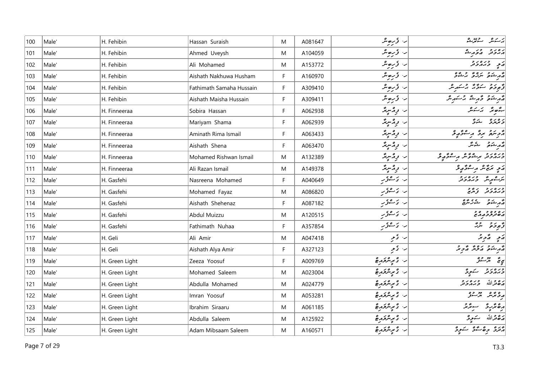| 100 | Male' | H. Fehibin     | Hassan Suraish           | M  | A081647 | ر، ۇرەپر            | پر سکھر سے جو شہر کے ا                                                                                                                                                                                                           |
|-----|-------|----------------|--------------------------|----|---------|---------------------|----------------------------------------------------------------------------------------------------------------------------------------------------------------------------------------------------------------------------------|
| 101 | Male' | H. Fehibin     | Ahmed Uveysh             | M  | A104059 | ر و ژره مر          | أمدوس مقدي                                                                                                                                                                                                                       |
| 102 | Male' | H. Fehibin     | Ali Mohamed              | M  | A153772 | ر. ۇرەپر            | كمو ورەرد                                                                                                                                                                                                                        |
| 103 | Male' | H. Fehibin     | Aishath Nakhuwa Husham   | F  | A160970 | دې په په            | أوالم المستوفر المستوفر المستوفر                                                                                                                                                                                                 |
| 104 | Male' | H. Fehibin     | Fathimath Samaha Hussain | F  | A309410 | ر، ۇرەپر            | ۇپروپر روم رىكىر                                                                                                                                                                                                                 |
| 105 | Male' | H. Fehibin     | Aishath Maisha Hussain   | F  | A309411 | ر، ۇرەپر            | وأرشكم وأرشأ وكارش                                                                                                                                                                                                               |
| 106 | Male' | H. Finneeraa   | Sobira Hassan            | F  | A062938 | ر. وە ئىبە          | جۇم ئەسەر                                                                                                                                                                                                                        |
| 107 | Male' | H. Finneeraa   | Mariyam Shama            | F  | A062939 | ر. وپرسریڈ          | رەرە ئەتخ                                                                                                                                                                                                                        |
| 108 | Male' | H. Finneeraa   | Aminath Rima Ismail      | F  | A063433 | ر. و پرسریگه        | أأدينو برد وكردو                                                                                                                                                                                                                 |
| 109 | Male' | H. Finneeraa   | Aishath Shena            | F. | A063470 | ر. و پرسریگر        | أَمْ مِنْ فَقَدْ مِنْ مِنْ                                                                                                                                                                                                       |
| 110 | Male' | H. Finneeraa   | Mohamed Rishwan Ismail   | M  | A132389 | ر. و پرسریمهٔ       | כנים גד תשיפית תשיפתי                                                                                                                                                                                                            |
| 111 | Male' | H. Finneeraa   | Ali Razan Ismail         | M  | A149378 | ر. وەھمىد           | ړې پرېمه پر عرموړی                                                                                                                                                                                                               |
| 112 | Male' | H. Gasfehi     | Nasreena Mohamed         | F  | A040649 | ر، ئەسقۇر           | ىر ھېرىگە دىرەرد                                                                                                                                                                                                                 |
| 113 | Male' | H. Gasfehi     | Mohamed Fayaz            | M  | A086820 | ر، ئۈشۈپ            | כנסנכ נבכ                                                                                                                                                                                                                        |
| 114 | Male' | H. Gasfehi     | Aishath Shehenaz         | F  | A087182 | ر، ئەسقۇر           | د در در در در در در در در برای برای برای برای در در در در در در در در در در دارای در دارای در دارای در دارای د<br>در دارای در دارای در دارای در دارای در دارای در دارای در دارای در دارای دارای دارای دارای دارای دارای در دارای |
| 115 | Male' | H. Gasfehi     | <b>Abdul Muizzu</b>      | M  | A120515 | ر، ئەسقۇر           |                                                                                                                                                                                                                                  |
| 116 | Male' | H. Gasfehi     | Fathimath Nuhaa          | F  | A357854 | ر. ئەسقۇر           | و محموم محمد المحمد المحمد                                                                                                                                                                                                       |
| 117 | Male' | H. Geli        | Ali Amir                 | M  | A047418 | ر، دکو              | أماسي المرجر                                                                                                                                                                                                                     |
| 118 | Male' | H. Geli        | Aishath Alya Amir        | F  | A327123 | ر، نخو              | a 1991 1994                                                                                                                                                                                                                      |
| 119 | Male' | H. Green Light | Zeeza Yoosuf             | F  | A009769 | ر. ، محتر مرکز مربع | ىپى ئ <sup>ىق</sup> بىر مىقى بىر                                                                                                                                                                                                 |
| 120 | Male' | H. Green Light | Mohamed Saleem           | M  | A023004 | ر. ، محتر مرکز مربع | ورەرو سەرو                                                                                                                                                                                                                       |
| 121 | Male' | H. Green Light | Abdulla Mohamed          | M  | A024779 | ر. وموسر محمد ع     | رە داللە ھەدەر د                                                                                                                                                                                                                 |
| 122 | Male' | H. Green Light | Imran Yoosuf             | M  | A053281 | ر. د موسر د مو      | ם מים מדינים<br>הכיתיית ותי-ני                                                                                                                                                                                                   |
| 123 | Male' | H. Green Light | Ibrahim Siraaru          | M  | A061185 | ر. گە پرىگرىز بەھ   |                                                                                                                                                                                                                                  |
| 124 | Male' | H. Green Light | Abdulla Saleem           | M  | A125922 | ر. د موسر د کارو    | رە دالله سكوچ                                                                                                                                                                                                                    |
| 125 | Male' | H. Green Light | Adam Mibsaam Saleem      | M  | A160571 | ر ، د پر پروگري     | أدره وه دو سوو                                                                                                                                                                                                                   |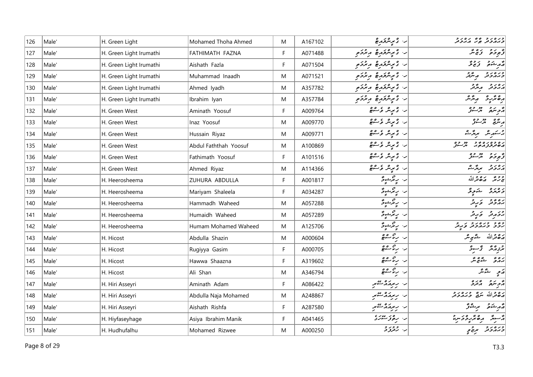| 126 | Male' | H. Green Light          | Mohamed Thoha Ahmed   | M  | A167102 | ر ، د بر پروگري                                                                     | ورەرو په رەرو<br>دىدمەدىر بور مىدوىر        |
|-----|-------|-------------------------|-----------------------|----|---------|-------------------------------------------------------------------------------------|---------------------------------------------|
| 127 | Male' | H. Green Light Irumathi | FATHIMATH FAZNA       | F  | A071488 | ر و بر عرضه و برخوم                                                                 | أزُّبوحَ بَرَ وَسَ                          |
| 128 | Male' | H. Green Light Irumathi | Aishath Fazla         | F  | A071504 | ر وير عرونه و برده بر                                                               | وكرمشقى وتجرمى                              |
| 129 | Male' | H. Green Light Irumathi | Muhammad Inaadh       | M  | A071521 | $\frac{1}{2}$ $\frac{1}{2}$ $\frac{1}{2}$ $\frac{1}{2}$ $\frac{1}{2}$ $\frac{1}{2}$ | وره دو در و                                 |
| 130 | Male' | H. Green Light Irumathi | Ahmed Iyadh           | M  | A357782 | ر و بر عروزه و برده و                                                               | גם גב הייב<br>הגבה היתה                     |
| 131 | Male' | H. Green Light Irumathi | Ibrahim Iyan          | M  | A357784 | ر. ويرتزور ۾ مرحزم                                                                  | رەنزىر رىزىر                                |
| 132 | Male' | H. Green West           | Aminath Yoosuf        | F  | A009764 | ر، کی پرنگر ترکھنے                                                                  | أزويتره ورقره                               |
| 133 | Male' | H. Green West           | Inaz Yoosuf           | M  | A009770 | ر، و پرېش توسیع                                                                     | اړېنگنج ورمړوه                              |
| 134 | Male' | H. Green West           | Hussain Riyaz         | M  | A009771 | ر ، کی پر سر اور عام ع                                                              | برسكور مرتزعه                               |
| 135 | Male' | H. Green West           | Abdul Faththah Yoosuf | M  | A100869 | را و پرېش کړېنځو                                                                    | ره כه ره دو دو وه<br>پره تر تر ژبر ه بر سوژ |
| 136 | Male' | H. Green West           | Fathimath Yoosuf      | F  | A101516 | ر، کی پر شر څرگ                                                                     | أوجوحه وحرموه                               |
| 137 | Male' | H. Green West           | Ahmed Riyaz           | M  | A114366 | ر. و پرس و دوم                                                                      | رەرو بەرگ                                   |
| 138 | Male' | H. Heerosheema          | ZUHURA ABDULLA        | F  | A001817 | ر، رِیْرِ شِوَدَّ                                                                   | يحريحه وكاله الله                           |
| 139 | Male' | H. Heerosheema          | Mariyam Shaleela      | F  | A034287 | ر، رِیْرِشِوْدَ                                                                     | وءره شرور                                   |
| 140 | Male' | H. Heerosheema          | Hammadh Waheed        | M  | A057288 | ر، رِیْرُجُودَّ                                                                     | پره ده په تر په تر                          |
| 141 | Male' | H. Heerosheema          | Humaidh Waheed        | M  | A057289 | - رِیْرُجُودَّ                                                                      | 2 كەرقىي كەر قىلى                           |
| 142 | Male' | H. Heerosheema          | Humam Mohamed Waheed  | M  | A125706 | ر، رِیْرِ شِرْحٌ                                                                    | و و و د و د و د د د د                       |
| 143 | Male' | H. Hicost               | Abdulla Shazin        | M  | A000604 | ر. رِيْنَ صَعْ                                                                      | رە داللە شىم ش                              |
| 144 | Male' | H. Hicost               | Rugiyya Gasim         | F  | A000705 | ر. رِنْدُ شُوْءِ                                                                    | بر <sub>ۇ</sub> رۇ ئ <sup>ې</sup> بۇ        |
| 145 | Male' | H. Hicost               | Hawwa Shaazna         | F  | A319602 | ر. رِنْدُ شُوْءِ                                                                    | پر و بچ<br>شەم ئە                           |
| 146 | Male' | H. Hicost               | Ali Shan              | M  | A346794 |                                                                                     | پَسِ شَمَّسْ                                |
| 147 | Male' | H. Hiri Asseyri         | Aminath Adam          | F  | A086422 | $x^{\frac{ac}{2}}$                                                                  | و کر دره دره                                |
| 148 | Male' | H. Hiri Asseyri         | Abdulla Naja Mohamed  | Μ  | A248867 | $x^{\frac{ac}{2}}$                                                                  | رە داللە سرقى دىرە رو                       |
| 149 | Male' | H. Hiri Asseyri         | Aishath Rishfa        | F. | A287580 | ر، رىزىدە شەير                                                                      | وكرمشكم المرشوق                             |
| 150 | Male' | H. Hiyfaseyhage         | Asiya Ibrahim Manik   | F  | A041465 | ر، رەز يەر ،                                                                        | ו היות הסתוכביתי                            |
| 151 | Male' | H. Hudhufalhu           | Mohamed Rizwee        | M  | A000250 | ر . وور و<br>ر . رتوتو تو                                                           | ورەرو برخم                                  |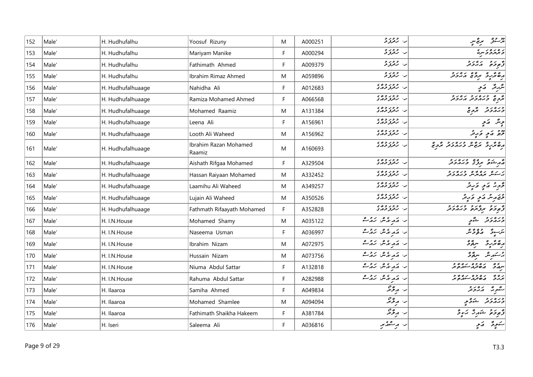| 152 | Male' | H. Hudhufalhu     | Yoosuf Rizuny                   | M         | A000251 | ر. ژور د                                  | ادر متره<br>الرگستون<br>۔<br>سمریح میں        |
|-----|-------|-------------------|---------------------------------|-----------|---------|-------------------------------------------|-----------------------------------------------|
| 153 | Male' | H. Hudhufalhu     | Mariyam Manike                  | F         | A000294 | ر. ژور و<br>ر. ژوژو                       | ر ەرەر پ                                      |
| 154 | Male' | H. Hudhufalhu     | Fathimath Ahmed                 | F         | A009379 | ر. رود دو                                 | و د د د د د                                   |
| 155 | Male' | H. Hudhufalhu     | Ibrahim Rimaz Ahmed             | M         | A059896 | ر. ژورو                                   | رە ئەر ئەر ئەر ئەر ئەر ئە                     |
| 156 | Male' | H. Hudhufalhuaaqe | Nahidha Ali                     | F         | A012683 | ر. ح <sub>م</sub> ورو» ،<br>ر. رقرتو بروي | شریرقد ارکام                                  |
| 157 | Male' | H. Hudhufalhuaaqe | Ramiza Mohamed Ahmed            | F         | A066568 | ر<br>ر . گرورد .                          | ه په وره ره ره دورو<br>بردې د بررونر مدونر    |
| 158 | Male' | H. Hudhufalhuaage | Mohamed Raamiz                  | ${\sf M}$ | A131384 | ر<br>ر . گلرتر بود .                      | ورەر د د                                      |
| 159 | Male' | H. Hudhufalhuaage | Leena Ali                       | F         | A156961 | ر<br>ر رکنرو بو پر <sub>ک</sub>           | پېرسته کړې                                    |
| 160 | Male' | H. Hudhufalhuaage | Looth Ali Waheed                | M         | A156962 | ر<br>ر . گلرتر بود .                      | ود د کار د د کار در                           |
| 161 | Male' | H. Hudhufalhuaage | Ibrahim Razan Mohamed<br>Raamiz | ${\sf M}$ | A160693 | ر<br>ر . گلرتو بو پر <sub>ک</sub>         | وه ده دره دره در دره                          |
| 162 | Male' | H. Hudhufalhuaage | Aishath Rifgaa Mohamed          | F         | A329504 | ر<br>ر . گلرتو بو پر .                    | د مدد و و وره د و                             |
| 163 | Male' | H. Hudhufalhuaaqe | Hassan Raiyaan Mohamed          | M         | A332452 | ر<br>ر . گلرتو بو پر .                    | ر رو ره ده وره رو<br>رکستن مهدارس وبرارونر    |
| 164 | Male' | H. Hudhufalhuaage | Laamihu Ali Waheed              | M         | A349257 | ر<br>ر رکنونو بو                          | وحورجه وكالمحامد وترافد                       |
| 165 | Male' | H. Hudhufalhuaage | Lujain Ali Waheed               | M         | A350526 | ر<br>ر . گلرتو بو پر <sub>ک</sub>         | وحي مريثر كمبي وتبايته                        |
| 166 | Male' | H. Hudhufalhuaage | Fathmath Rifaayath Mohamed      | F         | A352828 | ر<br>ر رکنرو بو پر <sub>ک</sub>           | و د د په د د دره د د                          |
| 167 | Male' | H. I.N. House     | Mohamed Shamy                   | M         | A035122 | ر. مەم بۇيق ئەم ھ                         | وره د د د شگې                                 |
| 168 | Male' | H. I.N.House      | Naseema Usman                   | F         | A036997 | ر. مەم بەش ئەمى                           | يرسوڅ ه. ده د مر                              |
| 169 | Male' | H. I.N.House      | Ibrahim Nizam                   | M         | A072975 | ر. مەم بەش ئەمى                           | رەئزىرو سۆۋ                                   |
| 170 | Male' | H. I.N.House      | Hussain Nizam                   | M         | A073756 | ر. مەم مەش ئەرق                           | بر کے مرکز سرقرو                              |
| 171 | Male' | H. I.N.House      | Niuma Abdul Sattar              | F         | A132818 | ر. مەم بەش ئەمىسى                         | ره وه ره دو<br>پره ترو سوړه تر<br>سرچينې      |
| 172 | Male' | H. I.N.House      | Rahuma Abdul Sattar             | F         | A282988 | ر. مەم بەش ئەمى                           | ر ٥ ۶ ٥ ٥ ٧ ٥ ٠<br>د ځ ترو سوونځو تر<br>برەپچ |
| 173 | Male' | H. Ilaaroa        | Samiha Ahmed                    | F         | A049834 | ر. مەنزىمە                                | شوبر كەبروتر                                  |
| 174 | Male' | H. Ilaaroa        | Mohamed Shamlee                 | M         | A094094 | ر. مرمونتر                                | و ر ه ر د<br>د بر پر <del>و</del> تر<br>شووج  |
| 175 | Male' | H. Ilaaroa        | Fathimath Shaikha Hakeem        | F         | A381784 | ر . د وگر                                 | قهوختم خيرة بمبوق                             |
| 176 | Male' | H. Iseri          | Saleema Ali                     | F         | A036816 | ار. ویشه په                               | سكودة الكو                                    |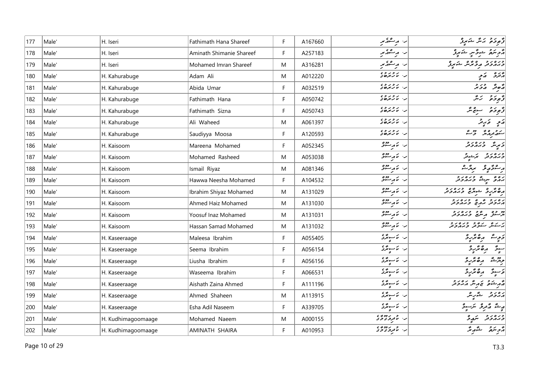| 177 | Male' | H. Iseri           | Fathimath Hana Shareef   | F         | A167660 | ر په مشهر مبر                                                                  | قەددە ئەنگە ھەمرى                     |
|-----|-------|--------------------|--------------------------|-----------|---------|--------------------------------------------------------------------------------|---------------------------------------|
| 178 | Male' | H. Iseri           | Aminath Shimanie Shareef | F         | A257183 | ر به مرشور میر                                                                 | أوريخ والمحس المحمود                  |
| 179 | Male' | H. Iseri           | Mohamed Imran Shareef    | M         | A316281 | ر. مرتشم بر                                                                    | ورەرد مەدش خىرو                       |
| 180 | Male' | H. Kahurabuge      | Adam Ali                 | M         | A012220 | $\begin{smallmatrix} 2 & 2 & 2 & 2 & 1 \\ 2 & 2 & 2 & 2 & 1 \end{smallmatrix}$ | أرمزو أياسي                           |
| 181 | Male' | H. Kahurabuge      | Abida Umar               | F         | A032519 | ر کرور و د<br>ر کار ترکان                                                      |                                       |
| 182 | Male' | H. Kahurabuge      | Fathimath Hana           | F         | A050742 | ر د د د د د<br>ر . مار بره د                                                   | قەددە ئىگە                            |
| 183 | Male' | H. Kahurabuge      | Fathimath Sizna          | F         | A050743 | ر . رور و .<br>ر . را ربو <mark>ح</mark> ه ی                                   | قرجوحرة فسنتوسر                       |
| 184 | Male' | H. Kahurabuge      | Ali Waheed               | ${\sf M}$ | A061397 | $\frac{c}{c}$                                                                  | ە ئەيە                                |
| 185 | Male' | H. Kahurabuge      | Saudiyya Moosa           | F         | A120593 | ر . رور و ،<br>ر . را ربو <mark>ح</mark> ه ی                                   | הכנים כבי                             |
| 186 | Male' | H. Kaisoom         | Mareena Mohamed          | F         | A052345 | ر، ئەمەسىتى                                                                    | د پر د د د د د                        |
| 187 | Male' | H. Kaisoom         | Mohamed Rasheed          | M         | A053038 | ر، ئەمەسىتى                                                                    | ورەرو كەنبەتر                         |
| 188 | Male' | H. Kaisoom         | Ismail Riyaz             | M         | A081346 | ر، ئەمەسىتى                                                                    | رىقۇر ئىر                             |
| 189 | Male' | H. Kaisoom         | Hawwa Neesha Mohamed     | F         | A104532 | ر، ئەمەسىتى                                                                    | رە ئەس ئەرەر د                        |
| 190 | Male' | H. Kaisoom         | Ibrahim Shiyaz Mohamed   | M         | A131029 | ر، ئەمەسىتى                                                                    | دە ئەر ئەشەرى دىرەرد                  |
| 191 | Male' | H. Kaisoom         | Ahmed Haiz Mohamed       | M         | A131030 | ر ، مأمر رده ه                                                                 | رورد محمده دره رد                     |
| 192 | Male' | H. Kaisoom         | Yoosuf Inaz Mohamed      | M         | A131031 | ر، ئەمەسىتى                                                                    | מ כם השני כמהכת<br>ת—נציק של כמהכת    |
| 193 | Male' | H. Kaisoom         | Hassan Samad Mohamed     | M         | A131032 | ر، ئەمەسىۋە                                                                    | ر کره در در در در در د                |
| 194 | Male' | H. Kaseeraage      | Maleesa Ibrahim          | F.        | A055405 | ر، ئەسەپرى                                                                     | دَرِبٌ مِرْه مُرْرِدْ                 |
| 195 | Male' | H. Kaseeraage      | Seema Ibrahim            | F         | A056154 | ر، ئەسەپىرى                                                                    | رە ئەرىر<br>بەھتەرىر<br>$\frac{1}{2}$ |
| 196 | Male' | H. Kaseeraage      | Liusha Ibrahim           | F         | A056156 | ر، ئەسىيىتى ئە                                                                 | لوديدة<br>ەرھەترىر <sup>ى</sup>       |
| 197 | Male' | H. Kaseeraage      | Waseema Ibrahim          | F         | A066531 | ر، ئۈسەتتى2                                                                    | ەر ھەترىرى<br>ر<br>ځ سېږځ             |
| 198 | Male' | H. Kaseeraage      | Aishath Zaina Ahmed      | F         | A111196 | ر، ئۈسەتترى                                                                    | ومرشوق تمریش و مرد و                  |
| 199 | Male' | H. Kaseeraage      | Ahmed Shaheen            | M         | A113915 | ر، ئۈسەتترى                                                                    | پرورو ځېږمر                           |
| 200 | Male' | H. Kaseeraage      | Esha Adil Naseem         | F         | A339705 | ر، ئەسەپرى                                                                     | ويستم ويحرقه لترجو                    |
| 201 | Male' | H. Kudhimagoomaage | Mohamed Naeem            | M         | A000155 | ر و دوو ،<br>ر . ما تور و و و د                                                | و ر ه ر د<br>تر پر ژ تر<br>سكەچە      |
| 202 | Male' | H. Kudhimagoomaage | AMINATH SHAIRA           | F.        | A010953 |                                                                                | أمر المستقصر                          |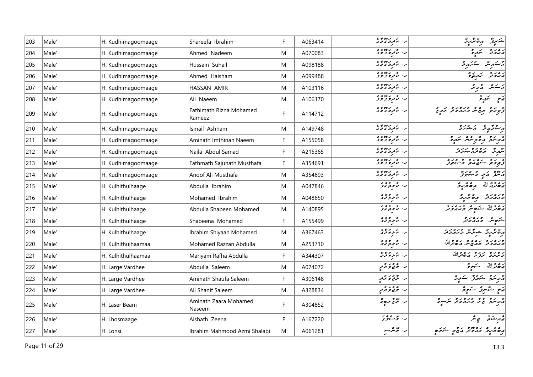| 203 | Male' | H. Kudhimagoomaage | Shareefa Ibrahim                  | F  | A063414 |                                        | ەرھ ئ <sup>ۆ</sup> ر ۋ<br>  شەموقر           |
|-----|-------|--------------------|-----------------------------------|----|---------|----------------------------------------|----------------------------------------------|
| 204 | Male' | H. Kudhimagoomaage | Ahmed Nadeem                      | M  | A070083 | ر - ح و برودين د<br>ر - ما تور پر پر پ | بر ه بر و<br>مرکز فر<br>سربر و               |
| 205 | Male' | H. Kudhimagoomaage | Hussain Suhail                    | M  | A098188 | ر و دوده ،<br>ر . ما تورد د د د        | برسكهاش استركها فحر                          |
| 206 | Male' | H. Kudhimagoomaage | Ahmed Haisham                     | M  | A099488 |                                        | رەر دىر دە                                   |
| 207 | Male' | H. Kudhimagoomaage | HASSAN AMIR                       | M  | A103116 | د . ه در دوه ،<br>ر . ما ترو د و د     | يركسكس مجاجاتها                              |
| 208 | Male' | H. Kudhimagoomaage | Ali Naeem                         | M  | A106170 | د . ه در دوه ،<br>ر . ما ترو د و د     | أريج التمدي                                  |
| 209 | Male' | H. Kudhimagoomaage | Fathimath Rizna Mohamed<br>Rameez | F  | A114712 | ر و دوده ،<br>ر . ما تور و د و         | و دو گرم شده دره دو گرم                      |
| 210 | Male' | H. Kudhimagoomaage | Ismail Ashham                     | M  | A149748 |                                        | ر عۇرپۇ كەشرى                                |
| 211 | Male' | H. Kudhimagoomaage | Aminath Imthinan Naeem            | F  | A155058 | ر - ح و برودين د<br>ر - ما تور پر پر پ | أزوينه ودورشر بنمدد                          |
| 212 | Male' | H. Kudhimagoomaage | Naila Abdul Samad                 | F  | A215365 | د - ۶ در ۶۶ وي.<br>د - ما تر 5 د 5 وي. | شهر شهره ۱۶۵۶ در د<br>سمهر شهره هاد برابر در |
| 213 | Male' | H. Kudhimagoomaage | Fathmath Sajuhath Musthafa        | F. | A354691 | ر و ردون .<br>ر ناترو د و د            | و د د ده ده د ه د و.<br>گرجوده سنه د د سنجو  |
| 214 | Male' | H. Kudhimagoomaage | Anoof Ali Musthafa                | M  | A354693 |                                        | أردوه أرمي ومبدوق                            |
| 215 | Male' | H. Kulhithulhaage  | Abdulla Ibrahim                   | M  | A047846 | د<br>ر                                 | ره وه اللّه<br>ەرھەترىر ۋ                    |
| 216 | Male' | H. Kulhithulhaage  | Mohamed Ibrahim                   | M  | A048650 | د<br>د . ما لاه لمری                   | כמתכת תפתיכ                                  |
| 217 | Male' | H. Kulhithulhaage  | Abdulla Shabeen Mohamed           | M  | A140895 | ر . گوه وي .<br>ر . گوه وگ             | ره و الله څوه شر <i>د برم</i> روند           |
| 218 | Male' | H. Kulhithulhaage  | Shabeena Mohamed                  | F  | A155499 | د<br>د ما بل بر ي                      | أشوه شرور ورور                               |
| 219 | Male' | H. Kulhithulhaage  | Ibrahim Shiyaan Mohamed           | M  | A367463 | ر . گوه وي .<br>ر . گوه وگ             | دە ئەرو ھەرەر دەرد                           |
| 220 | Male' | H. Kulhithulhaamaa | Mohamed Razzan Abdulla            | M  | A253710 | ر . رو و دی<br>ر . را رو ترک           | وره رو بره ده بره دالله                      |
| 221 | Male' | H. Kulhithulhaamaa | Mariyam Rafha Abdulla             | F  | A344307 | ر<br>ر                                 | رەرە روم رەھراللە                            |
| 222 | Male' | H. Large Vardhee   | Abdulla Saleem                    | M  | A074072 | ر سيد ور حمد مدير<br>ر ستخدم حمد محمد  | پره ترالله کوچ                               |
| 223 | Male' | H. Large Vardhee   | Aminath Shaufa Saleem             | F. | A306148 | ر په نوځ تر و.<br>ر . نوځ تو تر و.     | أأوسع خروو كور                               |
| 224 | Male' | H. Large Vardhee   | Ali Shanif Saleem                 | M  | A328834 |                                        | پَهِ عَسِيرٌ سَوِدٌ                          |
| 225 | Male' | H. Laser Beam      | Aminath Zaara Mohamed<br>Naseem   | F  | A304852 | - המושים ב                             | פ גב כב כגור בי הגב                          |
| 226 | Male' | H. Lhosmaage       | Aishath Zeena                     | F. | A167220 | ر، موسیقی و ه                          | أقرم شوقو سمائي                              |
| 227 | Male' | H. Lonsi           | Ibrahim Mahmood Azmi Shalabi      | M  | A061281 | ر. بیرچرے                              | مصر و ده دو د د و خکوه                       |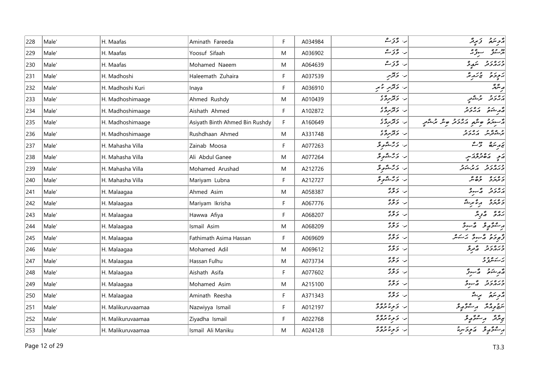| 228 | Male' | H. Maafas         | Aminath Fareeda                | F         | A034984 | ر. ۇز م                                                                                                                                     | أأترسكم وسيقر                         |
|-----|-------|-------------------|--------------------------------|-----------|---------|---------------------------------------------------------------------------------------------------------------------------------------------|---------------------------------------|
| 229 | Male' | H. Maafas         | Yoosuf Sifaah                  | ${\sf M}$ | A036902 | ر. دَّۇسْه                                                                                                                                  | دد به ده<br>در سور<br>سىۋېر           |
| 230 | Male' | H. Maafas         | Mohamed Naeem                  | M         | A064639 | ر. ۇزىئە                                                                                                                                    | و ره ر د<br>تر پر ژنگر                |
| 231 | Male' | H. Madhoshi       | Haleemath Zuhaira              | F         | A037539 | ر. ئەقترىر                                                                                                                                  | ى ئەمەتتى<br>  پر پوځ ځو              |
| 232 | Male' | H. Madhoshi Kuri  | Inaya                          | F         | A036910 | را كەنگەر راير                                                                                                                              | لجريثمدهم                             |
| 233 | Male' | H. Madhoshimaage  | Ahmed Rushdy                   | ${\sf M}$ | A010439 | ر به دوه                                                                                                                                    |                                       |
| 234 | Male' | H. Madhoshimaage  | Aishath Ahmed                  | F         | A102872 | ر. ئەقترىردۇ ئى                                                                                                                             | أحمد شده بره رو                       |
| 235 | Male' | H. Madhoshimaage  | Asiyath Binth Ahmed Bin Rushdy | F         | A160649 | ر. ئەترىردى                                                                                                                                 |                                       |
| 236 | Male' | H. Madhoshimaage  | Rushdhaan Ahmed                | ${\sf M}$ | A331748 | ر. ئەقترىردۇ ئ                                                                                                                              | و و و د و د و د و<br>برخونرس بر برونر |
| 237 | Male' | H. Mahasha Villa  | Zainab Moosa                   | F         | A077263 | ر. ۇرگىقموق                                                                                                                                 | $23$ $27$                             |
| 238 | Male' | H. Mahasha Villa  | Ali Abdul Ganee                | M         | A077264 | ر. ۇرَّشَوۇ                                                                                                                                 | دي مەھىر دەرىر                        |
| 239 | Male' | H. Mahasha Villa  | Mohamed Arushad                | M         | A212726 | $\left  \begin{array}{cc} \mathcal{L}_{\mathcal{L}} & \mathcal{L}_{\mathcal{L}} \ & \mathcal{L}_{\mathcal{L}} & \ddots \end{array} \right $ | ورەرو رورو                            |
| 240 | Male' | H. Mahasha Villa  | Mariyam Lubna                  | F         | A212727 | ل ئەرمىقىمۇ                                                                                                                                 | د ۵ د وه مرد محمد حد                  |
| 241 | Male' | H. Malaagaa       | Ahmed Asim                     | ${\sf M}$ | A058387 | ر، وَوٌَیَ                                                                                                                                  | גם גב הבייב                           |
| 242 | Male' | H. Malaagaa       | Mariyam Ikrisha                | F         | A067776 | ر کانگی                                                                                                                                     | ومرده مرعبرية                         |
| 243 | Male' | H. Malaagaa       | Hawwa Afiya                    | F         | A068207 | ر کانگانی                                                                                                                                   | رەۋ مۇرگە                             |
| 244 | Male' | H. Malaagaa       | Ismail Asim                    | M         | A068209 | ر کانونگا                                                                                                                                   | وستوصفه ومبتوح                        |
| 245 | Male' | H. Malaagaa       | Fathimath Asima Hassan         | F         | A069609 | ر کانگانی                                                                                                                                   | ر<br>1959 - مسرح بمسكن                |
| 246 | Male' | H. Malaagaa       | Mohamed Adil                   | M         | A069612 | ر کانگانی                                                                                                                                   | כגמכת הבית                            |
| 247 | Male' | H. Malaagaa       | Hassan Fulhu                   | M         | A073734 | ر کانگانی                                                                                                                                   | ىز سەنلەيى ئە                         |
| 248 | Male' | H. Malaagaa       | Aishath Asifa                  | F         | A077602 | ر کانون                                                                                                                                     | وكرم شكوكم وكالبادئ                   |
| 249 | Male' | H. Malaagaa       | Mohamed Asim                   | M         | A215100 | ر کانگانی                                                                                                                                   | ورەرو ھُ۔و                            |
| 250 | Male' | H. Malaagaa       | Aminath Reesha                 | F         | A371343 | ر کانگانی                                                                                                                                   | أزوينهم بريئة                         |
| 251 | Male' | H. Malikuruvaamaa | Nazwiyya Ismail                | F         | A012197 | ر . ۇ ۋە ئرۇۋ                                                                                                                               |                                       |
| 252 | Male' | H. Malikuruvaamaa | Ziyadha Ismail                 | F         | A022768 | ربه نور مرونځ                                                                                                                               | بي پر پڻ په شو په شو کر               |
| 253 | Male' | H. Malikuruvaamaa | Ismail Ali Maniku              | ${\sf M}$ | A024128 | ر. ۇرمۇمۇۋ                                                                                                                                  | أر عوصي في المعنى المريض              |
|     |       |                   |                                |           |         |                                                                                                                                             |                                       |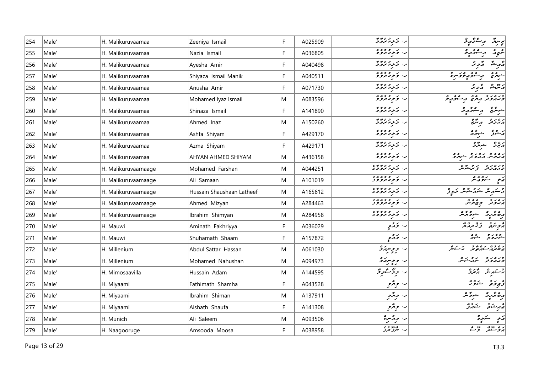| 254 | Male' | H. Malikuruvaamaa   | Zeeniya Ismail            | F         | A025909 | ر. ۇيونامرەۋ             | ەرسىۋەپى<br>اسم میں<br>مقبر                                |
|-----|-------|---------------------|---------------------------|-----------|---------|--------------------------|------------------------------------------------------------|
| 255 | Male' | H. Malikuruvaamaa   | Nazia Ismail              | F         | A036805 | ر کورنوری                | متنع وته<br>ەرسۇئەبۇ                                       |
| 256 | Male' | H. Malikuruvaamaa   | Ayesha Amir               | F         | A040498 | ر کورتمونو               | وزمرشه                                                     |
| 257 | Male' | H. Malikuruvaamaa   | Shiyaza Ismail Manik      | F         | A040511 | ر کورتموړي               | ے۔<br>مشوہ گرچ<br>ە سىۋە بۇر سرىر                          |
| 258 | Male' | H. Malikuruvaamaa   | Anusha Amir               | F         | A071730 | ر . ۇ ۋە ئەۋۋ            | دمجمعر<br>ىر جۇيىشە                                        |
| 259 | Male' | H. Malikuruvaamaa   | Mohamed Iyaz Ismail       | M         | A083596 | ر. ۇرمامدۇۋ              | כנסגב בשם השיפתים                                          |
| 260 | Male' | H. Malikuruvaamaa   | Shinaza Ismail            | F         | A141890 | ر به کرد بردگانگا        | حرشج وكرقوقو                                               |
| 261 | Male' | H. Malikuruvaamaa   | Ahmed Inaz                | M         | A150260 | ر کورنوری                | أرور وسره                                                  |
| 262 | Male' | H. Malikuruvaamaa   | Ashfa Shiyam              | F         | A429170 | ر کورنوری                | پريشو تر<br>شەدگرى                                         |
| 263 | Male' | H. Malikuruvaamaa   | Azma Shiyam               | F         | A429171 | ر . ئەبەر بورگە ئە       | ره د شور                                                   |
| 264 | Male' | H. Malikuruvaamaa   | AHYAN AHMED SHIYAM        | M         | A436158 | ر کورنموړي               | גם כם גם גבים בים.<br>הגתית הגבת شيת                       |
| 265 | Male' | H. Malikuruvaamaage | Mohamed Farshan           | M         | A044251 | ر کورنده و               | ورەرو روشگر                                                |
| 266 | Male' | H. Malikuruvaamaage | Ali Samaan                | M         | A101019 | $\frac{222222222222}{2}$ | أوسم المتوفيقر                                             |
| 267 | Male' | H. Malikuruvaamaage | Hussain Shaushaan Latheef | M         | A165612 | ر کورنموده               | ج سەر شەھ ھەشەھ كەنبۇ                                      |
| 268 | Male' | H. Malikuruvaamaage | Ahmed Mizyan              | M         | A284463 | ر کوریوی                 | أرور ومعترض                                                |
| 269 | Male' | H. Malikuruvaamaage | Ibrahim Shimyan           | M         | A284958 | ر کوروووی                | رەنزىرى ھەدىرىر<br>بەھىرىرى ھەدىرىر                        |
| 270 | Male' | H. Mauwi            | Aminath Fakhriyya         | F         | A036029 | ر، دَړُهٍ                | أأدويتهم ودامره                                            |
| 271 | Male' | H. Mauwi            | Shuhamath Shaam           | F         | A157872 | ر. دَړُهِ ٍ              | روم در دور<br>مشرکره مشور                                  |
| 272 | Male' | H. Millenium        | Abdul Sattar Hassan       | M         | A061030 | ر ووسده                  | גם כם גם זיכ<br>גם נקג הנהם זה<br>برَسەپىر                 |
| 273 | Male' | H. Millenium        | Mohamed Nahushan          | M         | A094973 | ر. ووسردة                | ورەرو بروشكىر                                              |
| 274 | Male' | H. Mimosaavilla     | Hussain Adam              | ${\sf M}$ | A144595 | ر. دِدْ جُمْدِدْ         | برحمر شهره                                                 |
| 275 | Male' | H. Miyaami          | Fathimath Shamha          | F         | A043528 | ر، ویژو                  | وُجِرَحْمَ شَرَوْرٌ                                        |
| 276 | Male' | H. Miyaami          | Ibrahim Shiman            | ${\sf M}$ | A137911 | ر. ویژو                  | 5, 2, 8, 1<br>ے وگھر<br>—                                  |
| 277 | Male' | H. Miyaami          | Aishath Shaufa            | F         | A141308 | ر. و پژو                 | د در در در در در میتواندانداد کرد.<br>در سنده در سندور کرد |
| 278 | Male' | H. Munich           | Ali Saleem                | M         | A093506 | ر به در مبرره<br>ر       | أريج التنجوي                                               |
| 279 | Male' | H. Naagooruge       | Amsooda Moosa             | F         | A038958 |                          | رە دە دىم                                                  |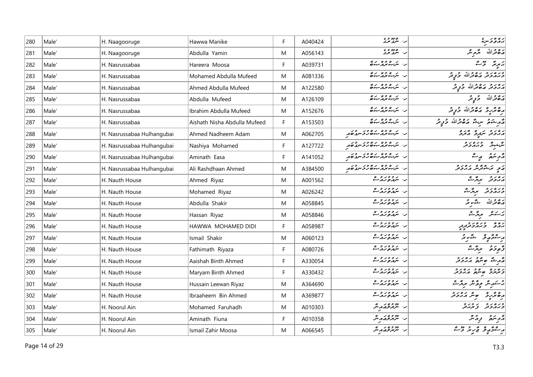| 280 | Male' | H. Naagooruge              | Hawwa Manike                 | E | A040424 | ر به دو و د<br>ر ۱ سری موی | رە پەر<br>بەھ بى <del>س</del> رىئا            |
|-----|-------|----------------------------|------------------------------|---|---------|----------------------------|-----------------------------------------------|
| 281 | Male' | H. Naagooruge              | Abdulla Yamin                | M | A056143 | یے وو و ی<br>سری موی       | <mark>بر صحر</mark> الله<br>ېژ د مر           |
| 282 | Male' | H. Nasrussabaa             | Hareera Moosa                | F | A039731 | ر. سرجو ده بره             | رَ پر پڑا میں بھر                             |
| 283 | Male' | H. Nasrussabaa             | Mohamed Abdulla Mufeed       | M | A081336 | ىر بەر بەر بەر ئە          | ورەرو رەمەلله دېرىر                           |
| 284 | Male' | H. Nasrussabaa             | Ahmed Abdulla Mufeed         | M | A122580 | ر. سرجو ده بره             | رەرد رەۋاللە دېچى                             |
| 285 | Male' | H. Nasrussabaa             | Abdulla Mufeed               | M | A126109 | ر. سرجو ده بره             | أرَّة مِّرَاللَّهُ وَمَحِيَّدَ                |
| 286 | Male' | H. Nasrussabaa             | Ibrahim Abdulla Mufeed       | M | A152676 | ر. سرجو ده بره             | رە ئرېرو مەھىراللە دېرىر                      |
| 287 | Male' | H. Nasrussabaa             | Aishath Nisha Abdulla Mufeed | E | A153503 | ر. سرجو پر ده.             | ومرشدة سيش وعدة الله دور                      |
| 288 | Male' | H. Nasrussabaa Hulhangubai | Ahmed Nadheem Adam           | M | A062705 | سرجوي برور در              | גפגב הקב הבנב                                 |
| 289 | Male' | H. Nasrussabaa Hulhangubai | Nashiya Mohamed              | F | A127722 | ر. س به در در در در در     | ش دره در در<br>سرشور در دور                   |
| 290 | Male' | H. Nasrussabaa Hulhangubai | Aminath Easa                 | F | A141052 | ر. سرجوبر مردم در در       | ړې سرچ په په                                  |
| 291 | Male' | H. Nasrussabaa Hulhangubai | Ali Rashdhaan Ahmed          | M | A384500 | ر. س بروه د ور در در       | د و برده وه ده در و<br>د و برشوترس دبروتر     |
| 292 | Male' | H. Nauth House             | Ahmed Riyaz                  | M | A001562 | ر. سردورو ه                | رەرد پەرت                                     |
| 293 | Male' | H. Nauth House             | Mohamed Riyaz                | M | A026242 | ر. سرد در در ه             | ورەرو برگرم                                   |
| 294 | Male' | H. Nauth House             | Abdulla Shakir               | M | A058845 | ر. سردورو ه                | برە قراللە<br>شەر بەر                         |
| 295 | Male' | H. Nauth House             | Hassan Riyaz                 | M | A058846 | ر. سردورو ه                | ىر سەش بىرەر شە                               |
| 296 | Male' | H. Nauth House             | HAWWA MOHAMED DIDI           | F | A058987 | ر. سردورو ه                |                                               |
| 297 | Male' | H. Nauth House             | Ismail Shakir                | M | A060123 | ر. سردورو ه                | ر جۇيرقى ھۇرىر                                |
| 298 | Male' | H. Nauth House             | Fathimath Riyaza             | E | A080726 | ر. سرورورو ه               | أو مرد مرتزعة                                 |
| 299 | Male' | H. Nauth House             | Aaishah Binth Ahmed          | F | A330054 | ر. سردورو ه                | د.<br>په د شکوه سره د بر د تر                 |
| 300 | Male' | H. Nauth House             | Maryam Binth Ahmed           | F | A330432 | ر. سرورورو ه               | נסנס סיים גםנב<br>בינו <i>נ</i> ב סיים גגבת   |
| 301 | Male' | H. Nauth House             | Hussain Leewan Riyaz         | M | A364690 | ر. سردورو ه                | بر سەر شە پەر ئە بەرگە شە                     |
| 302 | Male' | H. Nauth House             | Ibraaheem Bin Ahmed          | M | A369877 | ر. سردورو ه                | مەھترىق ھىر مەددىر                            |
| 303 | Male' | H. Noorul Ain              | Mohamed Faruhadh             | M | A010303 | ر. مربر ده د مر            | ورەر د درو<br><i>دىد</i> مەدىر ك <i>ى</i> رىد |
| 304 | Male' | H. Noorul Ain              | Aminath Fiuna                | F | A010358 | מ <i>כפס ג</i> ם.          | ړې سره په ډر                                  |
| 305 | Male' | H. Noorul Ain              | Ismail Zahir Moosa           | M | A066545 | ر. مربر ده د مر            | ر موځ په ځريز ورځ په                          |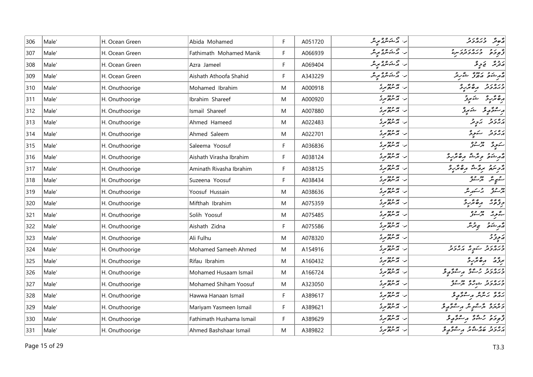| 306 | Male' | H. Ocean Green | Abida Mohamed            | F  | A051720 | ر. كەشكەتلىك ئېرىتر             | ح حرم دره                                                                                            |
|-----|-------|----------------|--------------------------|----|---------|---------------------------------|------------------------------------------------------------------------------------------------------|
| 307 | Male' | H. Ocean Green | Fathimath Mohamed Manik  | F. | A066939 | ر. گرځونکو پرېګر                | צף כי כנסנכנני                                                                                       |
| 308 | Male' | H. Ocean Green | Azra Jameel              | F  | A069404 | ر. ئۇيغەنلىكە يېرىتر            | روء يحوقه                                                                                            |
| 309 | Male' | H. Ocean Green | Aishath Athoofa Shahid   | F. | A343229 | ر. ئۇغۇمۇمرىر                   | أشهر شده و دونو استور تر                                                                             |
| 310 | Male' | H. Onuthoorige | Mohamed Ibrahim          | M  | A000918 | ה מיכחות ה<br>היא מיטוב מגב     | ورەرو مەمرىرو                                                                                        |
| 311 | Male' | H. Onuthoorige | Ibrahim Shareef          | M  | A000920 | ה מכרך ה<br>היי הייתם מג        | برە ئەربى<br>ے کمبرو ک                                                                               |
| 312 | Male' | H. Onuthoorige | Ismail Shareef           | M  | A007880 | ה יוד כבר ה<br>היוד הייתו ביודע | و عراق المستمرات المستورية المستورية المستورية المستورية المستورية المستورية المستورية المستورية الم |
| 313 | Male' | H. Onuthoorige | Ahmed Hameed             | M  | A022483 | ה מככבה<br>הי הייתום מג         | رەرو بەدىر                                                                                           |
| 314 | Male' | H. Onuthoorige | Ahmed Saleem             | M  | A022701 | ה מי כדו ה<br>הי אה יימוד ה     | پروتر کے پرو                                                                                         |
| 315 | Male' | H. Onuthoorige | Saleema Yoosuf           | F  | A036836 | ر. پر دود ،<br>ر. پر سرچ برد    | سەرچە دىرىسىر                                                                                        |
| 316 | Male' | H. Onuthoorige | Aishath Virasha Ibrahim  | F. | A038124 | ر بر دود .<br>ر . هر سره مرد    | مەرىشى وىرىشە بەھىرىرد                                                                               |
| 317 | Male' | H. Onuthoorige | Aminath Rivasha Ibrahim  | F. | A038125 |                                 | أزويتم برؤيئه وكالزرد                                                                                |
| 318 | Male' | H. Onuthoorige | Suzeena Yoosuf           | F. | A038434 | ر. موجود در<br>ر. ه.سرچ مورد    | سندې مثر جوړ حرمو                                                                                    |
| 319 | Male' | H. Onuthoorige | Yoosuf Hussain           | M  | A038636 | ر. سر ودو<br>ر. ه. سرچ سری      | در ده د سندر مثر                                                                                     |
| 320 | Male' | H. Onuthoorige | Mifthah Ibrahim          | M  | A075359 | به به دود .<br>رن اړسي برو      | د پوه و<br>ەھ تررۈ                                                                                   |
| 321 | Male' | H. Onuthoorige | Solih Yoosuf             | M  | A075485 | ر. سر وود .<br>ر. ه. سرچ مرد    | سەّمەر<br>ېژىستۇ                                                                                     |
| 322 | Male' | H. Onuthoorige | Aishath Zidna            | F  | A075586 | ر. سر ودو<br>ر. ه. سرچ سری      | أقهر مشكرة والمحتمد تكرينكر                                                                          |
| 323 | Male' | H. Onuthoorige | Ali Fulhu                | M  | A078320 | - מי כבר ה<br>הי אה ייתוף זה ב  | ە بېرو د                                                                                             |
| 324 | Male' | H. Onuthoorige | Mohamed Sameeh Ahmed     | M  | A154916 | پر دوو<br>رن هر سرجو برو        | ورەرو بەدە ئەدەر                                                                                     |
| 325 | Male' | H. Onuthoorige | Rifau Ibrahim            | M  | A160432 | به برودو<br>رن مرسره برد        | برؤك رەتمرچ                                                                                          |
| 326 | Male' | H. Onuthoorige | Mohamed Husaam Ismail    | M  | A166724 | ر. سر و دو<br>ر. هر سرچ مرد     | כנסגב בבים גם ביבה.<br>במגבת גיינים גיינים                                                           |
| 327 | Male' | H. Onuthoorige | Mohamed Shiham Yoosuf    | M  | A323050 | ה מככבה<br>היא הייתום מגז       | ورەر د مشرق د د وه<br><i>دېدو</i> تر شرگر پرسن                                                       |
| 328 | Male' | H. Onuthoorige | Hawwa Hanaan Ismail      | F  | A389617 | א מי כבר ג'<br>אי א מיתם מי ג'  | .<br>ג'ול ג'יליל ון הודק ול                                                                          |
| 329 | Male' | H. Onuthoorige | Mariyam Yasmeen Ismail   | F. | A389621 | ה מככבה<br>הי הייתום מג         | د ۱۶٫۶ مرکوم مرکز مرکز دیگر                                                                          |
| 330 | Male' | H. Onuthoorige | Fathimath Hushama Ismail | F. | A389629 | ر. پر دود ع<br>ر. پر سرچ برو    | ژودە رىشۇ رىشۇرو                                                                                     |
| 331 | Male' | H. Onuthoorige | Ahmed Bashshaar Ismail   | M  | A389822 | ر. مو ووو<br>ر. م. سرچ مړي      | رەرد رەپ دەرمى                                                                                       |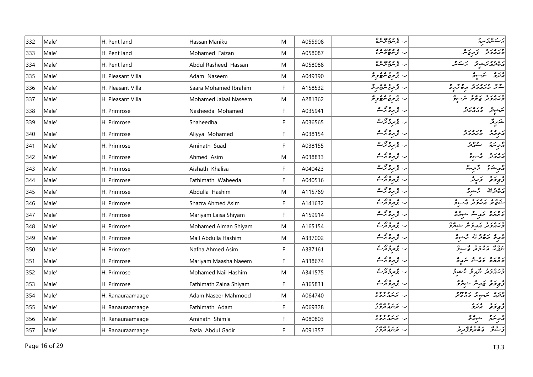| 332 | Male' | H. Pent land      | Hassan Maniku          | M         | A055908 | ر. بومرچ پومړه                       | بر کے مرکز سربر                                 |
|-----|-------|-------------------|------------------------|-----------|---------|--------------------------------------|-------------------------------------------------|
| 333 | Male' | H. Pent land      | Mohamed Faizan         | M         | A058087 | ب وه وه وه وه<br>ر . بر مربع تر مربع | ورەر ئىدىمى                                     |
| 334 | Male' | H. Pent land      | Abdul Rasheed Hassan   | M         | A058088 | ر. بې موه په وه                      | رە دە ئەھبىر كەسكىر                             |
| 335 | Male' | H. Pleasant Villa | Adam Naseem            | M         | A049390 | ر. بۇ مەنگەھ بوڭر                    | و دره سرگرد                                     |
| 336 | Male' | H. Pleasant Villa | Saara Mohamed Ibrahim  | F         | A158532 | ر. وُ دِيَّ مَرْهِ وِ دََّ           | د در در در ده ندر و                             |
| 337 | Male' | H. Pleasant Villa | Mohamed Jalaal Naseem  | M         | A281362 | ر. وُمْرِيْ مْرْجْوِمْ               | ورەرو روژ شرىدۇ                                 |
| 338 | Male' | H. Primrose       | Nasheeda Mohamed       | F         | A035941 | ر. وېروبرگ                           | و بر ۵ پر و<br>تر بر بر تر تر<br>ىكرىشوقگر<br>ئ |
| 339 | Male' | H. Primrose       | Shaheedha              | F         | A036565 | ر. وېرو تر ۹                         | ىشكە سەتىر<br>ئە                                |
| 340 | Male' | H. Primrose       | Aliyya Mohamed         | F         | A038154 | ر. بۇ برۇ ئۇڭ                        | ە دەپر<br>و ر ه ر و<br>تر پر ژ تر               |
| 341 | Male' | H. Primrose       | Aminath Suad           | F         | A038155 | ر. بۇ برۇنجرىئە                      | سەھەتىر<br>ا تر په مندم <del>په</del>           |
| 342 | Male' | H. Primrose       | Ahmed Asim             | M         | A038833 | ر. وېرو تر ۹                         | ر ە ر د<br>م.روتر<br>رژیبەۋ                     |
| 343 | Male' | H. Primrose       | Aishath Khalisa        | F         | A040423 | ر. و برد برگ                         | د مرکز در<br>افراد مشونو<br>ژ و ب               |
| 344 | Male' | H. Primrose       | Fathimath Waheeda      | F         | A040516 | ر. بۇ بروترىشە                       | وَّجْعِدَهُ وَرِيَّزٌ                           |
| 345 | Male' | H. Primrose       | Abdulla Hashim         | ${\sf M}$ | A115769 | ر. وېروبرگ                           | مَدْ هُ قَدْ اللّه سُرْ شَدْ وَ                 |
| 346 | Male' | H. Primrose       | Shazra Ahmed Asim      | F         | A141632 | ر. بۇ برۇ ئۈگ                        | رەپە رەردەپرە                                   |
| 347 | Male' | H. Primrose       | Mariyam Laisa Shiyam   | F         | A159914 | ر. بۇ برۇ ئۈگ                        | ويرتزو نزرع عبرو                                |
| 348 | Male' | H. Primrose       | Mohamed Aiman Shiyam   | M         | A165154 | ر. بۇ برۇ ئۇڭ                        | ورەرو كەركىر شەگە                               |
| 349 | Male' | H. Primrose       | Mail Abdulla Hashim    | M         | A337002 | ر. بۇ بروترگ                         | وَّمِرْ حَمَّ حَمَّاللَّهُ مُتَّ شَوَّرَ        |
| 350 | Male' | H. Primrose       | Nafha Ahmed Asim       | F         | A337161 | ر. و برد برگ                         | رەپ رەرد پەر                                    |
| 351 | Male' | H. Primrose       | Mariyam Maasha Naeem   | F         | A338674 | ر. و برد نر ۹                        | دەرە رەشق سەر                                   |
| 352 | Male' | H. Primrose       | Mohamed Nail Hashim    | M         | A341575 | ر. وېروبرے                           | ورەرو ئېرو رئىبو                                |
| 353 | Male' | H. Primrose       | Fathimath Zaina Shiyam | F         | A365831 | ر. و پروټرگ                          | و گوچو تم مر مگر شورگر                          |
| 354 | Male' | H. Ranauraamaage  | Adam Naseer Mahmood    | M         | A064740 | ر کرده وره و                         | ورو کرب و دودو                                  |
| 355 | Male' | H. Ranauraamaage  | Fathimath Adam         | F         | A069328 | ر بر دوه و،<br>ر بر سمد بروی         | و محمد المحمدة المحمدة                          |
| 356 | Male' | H. Ranauraamaage  | Aminath Shimla         | F         | A080803 | ر. نر سرو و و و                      | أأروبتهم سوفاقر                                 |
| 357 | Male' | H. Ranauraamaage  | Fazla Abdul Gadir      | F         | A091357 | ر پر بر و و و و                      | تر ەبۇ بەرە دەپرىر                              |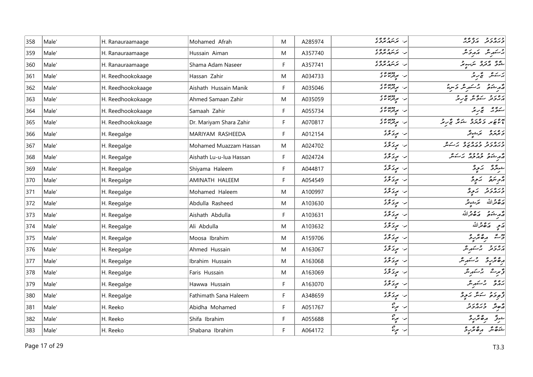| 358 | Male' | H. Ranauraamaage  | Mohamed Afrah           | M           | A285974 |                                               | כנסנכ נסשם<br>כמחכת הציגו   |
|-----|-------|-------------------|-------------------------|-------------|---------|-----------------------------------------------|-----------------------------|
| 359 | Male' | H. Ranauraamaage  | Hussain Aiman           | M           | A357740 | ر بر د و و و د<br>ر بر سر برو د               | يزعتهر شهروتكر              |
| 360 | Male' | H. Ranauraamaage  | Shama Adam Naseer       | $\mathsf F$ | A357741 | ر پر دوده                                     | شرح المركزي الكرسومر        |
| 361 | Male' | H. Reedhookokaage | Hassan Zahir            | M           | A034733 | د. برتر <i>بردی</i><br>ر. برتر <i>بر</i> بر د | يرك يتجرير                  |
| 362 | Male' | H. Reedhookokaage | Aishath Hussain Manik   | F           | A035046 | כבוב בי<br>ה' וקבק מ' מ' ב                    | مەر شەرەر بال سر ئارا       |
| 363 | Male' | H. Reedhookokaage | Ahmed Samaan Zahir      | M           | A035059 | له موسوع ته<br>اس موسوع ته                    | رەر دەر دەھ ئەرىر           |
| 364 | Male' | H. Reedhookokaage | Samaah Zahir            | F           | A055734 | د. هیوندی<br>ر. موتور را ر                    | سترور ويرتز                 |
| 365 | Male' | H. Reedhookokaage | Dr. Mariyam Shara Zahir | $\mathsf F$ | A070817 |                                               | برەي كەردە سەئۇ ئارىر       |
| 366 | Male' | H. Reegalge       | MARIYAM RASHEEDA        | F           | A012154 |                                               | و وړه پر په دگر             |
| 367 | Male' | H. Reegalge       | Mohamed Muazzam Hassan  | M           | A024702 | ر . مرر و ،                                   | כנסגב בגסגם גבם             |
| 368 | Male' | H. Reegalge       | Aishath Lu-u-lua Hassan | F           | A024724 | ار.<br>په مونه وه                             | ورشو ددده ریم               |
| 369 | Male' | H. Reegalge       | Shiyama Haleem          | $\mathsf F$ | A044817 | ر . موتەكۋى                                   | شەرگە كەرگە                 |
| 370 | Male' | H. Reegalge       | AMINATH HALEEM          | $\mathsf F$ | A054549 | ر . موتۇمۇتۇ                                  | أأوبتم كالمحي               |
| 371 | Male' | H. Reegalge       | Mohamed Haleem          | M           | A100997 | ر به مروء<br>په مونون                         | ورەرو پەرو                  |
| 372 | Male' | H. Reegalge       | Abdulla Rasheed         | ${\sf M}$   | A103630 | ر . سرو و ،<br>پ                              | مَدْ هُمْرَاللّه مَرْسُومْر |
| 373 | Male' | H. Reegalge       | Aishath Abdulla         | F           | A103631 | ر بەرگە ئ                                     | مُ مشمر مَصْعَراللَّه       |
| 374 | Male' | H. Reegalge       | Ali Abdulla             | M           | A103632 | ر . موترو ه                                   | أصَحِ صَصْحَراللّه          |
| 375 | Male' | H. Reegalge       | Moosa Ibrahim           | M           | A159706 | ر . موترو ه                                   | ديم په ده پر د              |
| 376 | Male' | H. Reegalge       | Ahmed Hussain           | M           | A163067 | ر . موتەكۋى                                   | رەرو جەسەر                  |
| 377 | Male' | H. Reegalge       | Ibrahim Hussain         | M           | A163068 | ار.<br>ابر مورود                              | ەرھەترىرى<br>ر              |
| 378 | Male' | H. Reegalge       | Faris Hussain           | M           | A163069 | ر . مورکور                                    | ۇبرق چىئېرى                 |
| 379 | Male' | H. Reegalge       | Hawwa Hussain           | F           | A163070 | ر بەرگە ئ                                     | برە ئەسكىرىگ                |
| 380 | Male' | H. Reegalge       | Fathimath Sana Haleem   | F           | A348659 | ر . مورکور<br>مراجع                           | ژوده خش ټرو                 |
| 381 | Male' | H. Reeko          | Abidha Mohamed          | F.          | A051767 | ر. بوره<br>ر.                                 | مەمۇ دىرەرد                 |
| 382 | Male' | H. Reeko          | Shifa Ibrahim           | F           | A055688 | ر، بېرىئە                                     | خبرته رەھترىرد              |
| 383 | Male' | H. Reeko          | Shabana Ibrahim         | F           | A064172 | ر. مورثا                                      | شەھ بەھەرد                  |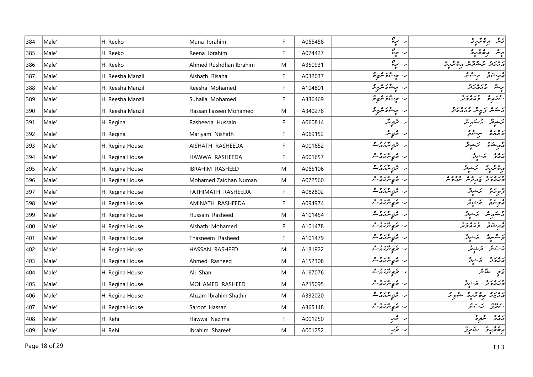| 384 | Male' | H. Reeko         | Muna Ibrahim           | F  | A065458 | ر. پرچ                                     | دقر مەمزىرد                                       |
|-----|-------|------------------|------------------------|----|---------|--------------------------------------------|---------------------------------------------------|
| 385 | Male' | H. Reeko         | Reena Ibrahim          | F. | A074427 | ر، بدینا                                   | ېږېتر د ۱۳۵۵ و.<br>پېښتر د هغربرد                 |
| 386 | Male' | H. Reeko         | Ahmed Rushdhan Ibrahim | M  | A350931 | ر، بېرىئە                                  | ره رو و وه وه ده برره<br>پرېدن برختنگرمن برختگرېز |
| 387 | Male' | H. Reesha Manzil | Aishath Risana         | F  | A032037 | ر. برېشۇكىرىمۇ                             | ۇرىشكى برىشىگە                                    |
| 388 | Male' | H. Reesha Manzil | Reesha Mohamed         | F  | A104801 | ر. برىشۇكىرى ئو                            | و رە ر د<br>تر پروتر<br>ىرىشە                     |
| 389 | Male' | H. Reesha Manzil | Suhaila Mohamed        | F  | A336469 | ر. برېشى شرېر ئ                            | ستركر ورەرو                                       |
| 390 | Male' | H. Reesha Manzil | Hassan Fazeen Mohamed  | M  | A340278 | ر. برېشتر شمېر و                           | پرسکس کی په دهم در د                              |
| 391 | Male' | H. Regina        | Rasheeda Hussain       | F  | A060814 | ر. ئۇم <sub>ۇ</sub> نىگە                   | يَرَسُونَدُ بِرَكْسَمْ مِرْ                       |
| 392 | Male' | H. Regina        | Mariyam Nishath        | F  | A069152 | ر. بۇ يېرىگر                               | رەرە س <sup>ىد</sup> ە                            |
| 393 | Male' | H. Regina House  | AISHATH RASHEEDA       | F  | A001652 | ر، ئ <sub>ۆ</sub> چ م <i>ەركە</i> ر م      | أقهر مشكاتهم المحرمشوقر                           |
| 394 | Male' | H. Regina House  | HAWWA RASHEEDA         | F  | A001657 | ر، گوه پر گرم هم شه                        | پروی پر خونگر                                     |
| 395 | Male' | H. Regina House  | <b>IBRAHIM RASHEED</b> | M  | A065106 | ر، گ <sub>ەھمچ</sub> م <i>گرىگە</i> ر شە   | رە ئرىر ئىن ئىشى                                  |
| 396 | Male' | H. Regina House  | Mohamed Zaidhan Numan  | M  | A072560 | ر، گوه پر گرم هم شه                        | ورەر دېر روم دووه                                 |
| 397 | Male' | H. Regina House  | FATHIMATH RASHEEDA     | F  | A082802 | ر، ئ <sub>ى</sub> رى ئ <i>ۇرىرى</i> گ      | تزود كالمتحفظة                                    |
| 398 | Male' | H. Regina House  | AMINATH RASHEEDA       | F  | A094974 | ر، ئ <sub>ۆ</sub> چ م <i>ەركە</i> ر م      | مەھ ئىر ئىسىدىگە                                  |
| 399 | Male' | H. Regina House  | Hussain Rasheed        | M  | A101454 | ر. گوچ مگر <i>گرم 2</i>                    | برسكهر مكر مكرجوند                                |
| 400 | Male' | H. Regina House  | Aishath Mohamed        | F  | A101478 | ر· گرمچ مگر <i>گرم</i> هے                  | و دره دره در در<br>درگاه در در در                 |
| 401 | Male' | H. Regina House  | Thasneem Rasheed       | F  | A101479 | ر. گ <sub>ە</sub> ي ئ <i>ۇرىم</i> كە       | كوكسرو كرشوقر                                     |
| 402 | Male' | H. Regina House  | HASSAN RASHEED         | M  | A131922 | ر، ئ <sub>ى</sub> رى ئ <i>ۇرىرم</i> ىشە    | ىر<br>بركسىش ئىرش <sub>ى</sub> ش                  |
| 403 | Male' | H. Regina House  | Ahmed Rasheed          | M  | A152308 | ر. گ <sub>ەن</sub> چە ئ <i>ىرگەن</i> گەشكە | رەرە ئەجەد                                        |
| 404 | Male' | H. Regina House  | Ali Shan               | M  | A167076 | ر. ئ <sub>ۈيم</sub> ئ <i>ۇرۇش</i>          | پر په شک                                          |
| 405 | Male' | H. Regina House  | MOHAMED RASHEED        | M  | A215095 | ر، ع <i>زّمٍ مرَّرَ ۾</i> شا               | ورەرو كەنبەتە                                     |
| 406 | Male' | H. Regina House  | Ahzam Ibrahim Shathir  | M  | A332020 | ر، ئ <sub>ى</sub> رى ئ <i>ۇرىرم</i> ىشە    |                                                   |
| 407 | Male' | H. Regina House  | Saroof Hassan          | M  | A365148 | ر· بۇ <i>يې مەركەر</i> مە                  | سىندىق ئەسەنلە                                    |
| 408 | Male' | H. Rehi          | Hawwa Nazima           | F. | A001250 | ر، عزیر                                    | برە ئە ئىنجاڭ                                     |
| 409 | Male' | H. Rehi          | Ibrahim Shareef        | M  | A001252 | استعملت<br>استعملت                         | رە ئەر ئىسىر                                      |
|     |       |                  |                        |    |         |                                            |                                                   |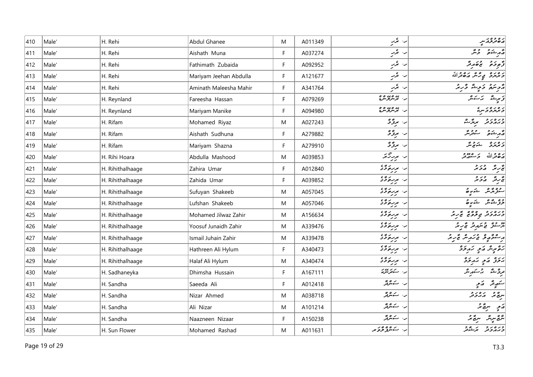| 410 | Male' | H. Rehi          | <b>Abdul Ghanee</b>    | M  | A011349 | اس میں<br>اس میں                   | ره وه د سر<br>پره ترڅ د سپ              |
|-----|-------|------------------|------------------------|----|---------|------------------------------------|-----------------------------------------|
| 411 | Male' | H. Rehi          | Aishath Muna           | F  | A037274 | ، عَرَب                            | أمار والمحتمد المحتمد                   |
| 412 | Male' | H. Rehi          | Fathimath Zubaida      | F  | A092952 | اس میں<br>ا                        | 3100 3293                               |
| 413 | Male' | H. Rehi          | Mariyam Jeehan Abdulla | F  | A121677 | ر. عرب                             | ىرەرە يې ئەھ ئەھەراللە                  |
| 414 | Male' | H. Rehi          | Aminath Maleesha Mahir | F  | A341764 | ر، عزیر                            | أوبرأ وتوبث وراثر                       |
| 415 | Male' | H. Reynland      | Fareesha Hassan        | F  | A079269 | ر به عده وه و<br>ر به مرمومبرد     | أقاميسة الأسكانكر                       |
| 416 | Male' | H. Reynland      | Mariyam Manike         | F  | A094980 | -<br>رن موسوع سره                  | ر ەر ەر يې                              |
| 417 | Male' | H. Rifam         | Mohamed Riyaz          | M  | A027243 | ر. برژٌد                           | ورەرو بروگ                              |
| 418 | Male' | H. Rifam         | Aishath Sudhuna        | F  | A279882 | ر. بروگ                            | و در دور<br>د کرد شوه سورس              |
| 419 | Male' | H. Rifam         | Mariyam Shazna         | F  | A279910 | ر. بروه                            | رەرە شەرى <i>د</i>                      |
| 420 | Male' | H. Rihi Hoara    | Abdulla Mashood        | M  | A039853 | ر ، بورژند                         | برە ترالله<br>بر ۱۶۵ ور<br>تر سه پر تعر |
| 421 | Male' | H. Rihithalhaage | Zahira Umar            | F. | A012840 | ر، برروده<br>ر، برروده             | پج ریمن دیگر دیگر<br>م                  |
| 422 | Male' | H. Rihithalhaage | Zahida Umar            | F  | A039852 | ار، بوربودي<br>اب                  | پج په تر د د تر<br>پخ په پرو تر         |
| 423 | Male' | H. Rihithalhaage | Sufuyan Shakeeb        | M  | A057045 |                                    | روه ده در د                             |
| 424 | Male' | H. Rihithalhaage | Lufshan Shakeeb        | M  | A057046 | ر بررموی<br>رسیرره ی ی             | ووشگىر شىرە                             |
| 425 | Male' | H. Rihithalhaage | Mohamed Jilwaz Zahir   | M  | A156634 | ر، برروده<br>ب                     |                                         |
| 426 | Male' | H. Rihithalhaage | Yoosuf Junaidh Zahir   | M  | A339476 |                                    | وريدو ويتمرقه لجربه                     |
| 427 | Male' | H. Rihithalhaage | Ismail Juhain Zahir    | M  | A339478 | ر به برره دی<br>ر به برره تری      |                                         |
| 428 | Male' | H. Rihithalhaage | Hathreen Ali Hylum     | F  | A340473 |                                    | رَءُ بِرِسْ مَهٍ رَبِرِ دَوْ            |
| 429 | Male' | H. Rihithalhaage | Halaf Ali Hylum        | M  | A340474 |                                    | بروو كالمحلج الكرامود                   |
| 430 | Male' | H. Sadhaneyka    | Dhimsha Hussain        | F  | A167111 | ر . مەدرى<br>ر . مسەنتەر <i>ىن</i> | ىرۋىقە جاسكىرىكر                        |
| 431 | Male' | H. Sandha        | Saeeda Ali             | F  | A012418 | ر. سەنئەدىگە                       | سکھینڈ میکنیم                           |
| 432 | Male' | H. Sandha        | Nizar Ahmed            | M  | A038718 | ر. سەئىرىتر                        |                                         |
| 433 | Male' | H. Sandha        | Ali Nizar              | M  | A101214 | ر. سەئىرىتر                        | ړې سرچ تر                               |
| 434 | Male' | H. Sandha        | Naazneen Nizaar        | F  | A150238 | ر. سەئىرىتر                        | شەھرىگە سىمگە                           |
| 435 | Male' | H. Sun Flower    | Mohamed Rashad         | M  | A011631 | ر. سەھەۋىچە بىر                    | ورەر د برخور<br><i>دې</i> رونر برخور    |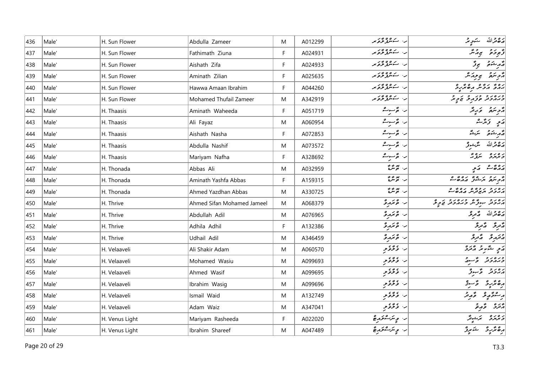| 436 | Male' | H. Sun Flower  | Abdulla Zameer             | M         | A012299 | ر. سەھ بەيدىن ئىر | رَة قَدَاللّه سَوَيْتَمْ            |
|-----|-------|----------------|----------------------------|-----------|---------|-------------------|-------------------------------------|
| 437 | Male' | H. Sun Flower  | Fathimath Ziuna            | F         | A024931 | ر. سەھرە ئەرىر    | توجوختم بالمشر                      |
| 438 | Male' | H. Sun Flower  | Aishath Zifa               | F         | A024933 | ر. سەش ۋە ئەر     | و مارستمو بانه<br>مارستمو بانه      |
| 439 | Male' | H. Sun Flower  | Aminath Zilian             | F         | A025635 | ر. سەھ بۇ بۇ ئەبر | أأترجع بمجدم                        |
| 440 | Male' | H. Sun Flower  | Hawwa Amaan Ibrahim        | F         | A044260 | ر. سەھەتچە تەر    |                                     |
| 441 | Male' | H. Sun Flower  | Mohamed Thufail Zameer     | M         | A342919 | ر. سەھەرىچە بر    | כנים כל הצבב הבית                   |
| 442 | Male' | H. Thaasis     | Aminath Waheeda            | F         | A051719 | ر. ءٌ سبر م       | أأروبتهم وكبيقه                     |
| 443 | Male' | H. Thaasis     | Ali Fayaz                  | ${\sf M}$ | A060954 | ر. ءُ سبر ه       | أەمىي تەركىت                        |
| 444 | Male' | H. Thaasis     | Aishath Nasha              | F         | A072853 | ر. ځې سوشه        | أمار مشكاة المستركبة                |
| 445 | Male' | H. Thaasis     | Abdulla Nashif             | M         | A073572 | ر، مۇسەم          | رەقمەللە سرىسور                     |
| 446 | Male' | H. Thaasis     | Mariyam Nafha              | F         | A328692 | ر. ءُ سبر ہ       | رەرە بەھ                            |
| 447 | Male' | H. Thonada     | Abbas Ali                  | M         | A032959 | ر، پروژ           | أمده شه مدر                         |
| 448 | Male' | H. Thonada     | Aminath Yashfa Abbas       | F         | A159315 | ر، پروژ           |                                     |
| 449 | Male' | H. Thonada     | Ahmed Yazdhan Abbas        | ${\sf M}$ | A330725 | ر. ئىز ئىشىم      | ג סגב גבגים גם גם.<br>הגבת תאתת ההס |
| 450 | Male' | H. Thrive      | Ahmed Sifan Mohamed Jameel | ${\sf M}$ | A068379 | - هو تمهره        |                                     |
| 451 | Male' | H. Thrive      | Abdullah Adil              | ${\sf M}$ | A076965 | ر. فو برمر و      | برة والله مجعرو                     |
| 452 | Male' | H. Thrive      | Adhila Adhil               | F         | A132386 | ر. ئۇ ئىرگە       | ە ئىرقى ئەربۇ                       |
| 453 | Male' | H. Thrive      | Udhail Adil                | M         | A346459 | ر. وتمده          | وحمرو وحرو                          |
| 454 | Male' | H. Velaaveli   | Ali Shakir Adam            | M         | A060570 | ر، ءَ دَّءَ و     | أرو الشما مراكبه المراكبر و         |
| 455 | Male' | H. Velaaveli   | Mohamed Wasiu              | M         | A099693 | ر، ءَ دَّءَ دِ    | ورەرو ئۆسى                          |
| 456 | Male' | H. Velaaveli   | Ahmed Wasif                | M         | A099695 | ر، ءَ دَّءَ و     | أرور والمسوق                        |
| 457 | Male' | H. Velaaveli   | Ibrahim Wasig              | M         | A099696 | ر ، ءَ دَّءَ دِ   | رە ئۆر ئەسر                         |
| 458 | Male' | H. Velaaveli   | Ismail Waid                | ${\sf M}$ | A132749 | ر ، ءَ دَّءَ دِ   | أراعتم ومحمد                        |
| 459 | Male' | H. Velaaveli   | Adam Waiz                  | M         | A347041 | ر، ءَ دَّءَ دِ    | پور ہ<br>م <i>ر</i> قرو<br>ځ پرځ    |
| 460 | Male' | H. Venus Light | Mariyam Rasheeda           | F         | A022020 | ر، ويتركز كروم    | رەرە يرَىشەتر                       |
| 461 | Male' | H. Venus Light | Ibrahim Shareef            | M         | A047489 | ار. وبتر شؤريقي   | رەترىرو شىرو                        |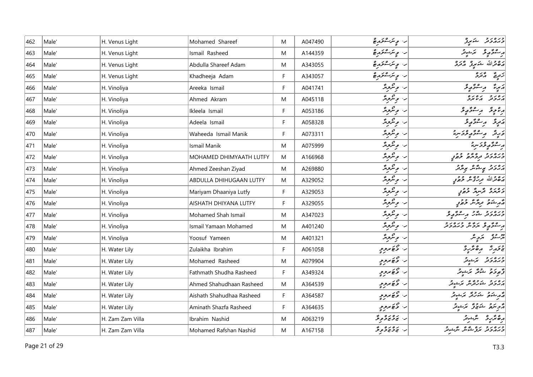| 462 | Male' | H. Venus Light   | Mohamed Shareef              | M           | A047490 | ر. ، موسكر محرم هي | ورەرو ئىرۇ                                                                                           |
|-----|-------|------------------|------------------------------|-------------|---------|--------------------|------------------------------------------------------------------------------------------------------|
| 463 | Male' | H. Venus Light   | Ismail Rasheed               | M           | A144359 | ر. ، موسكر محكم مع | رەشۇر ئىينى                                                                                          |
| 464 | Male' | H. Venus Light   | Abdulla Shareef Adam         | M           | A343055 | ر. ويتر شؤر ۾      | رە قراللە خويرۇ مەردە                                                                                |
| 465 | Male' | H. Venus Light   | Khadheeja Adam               | F           | A343057 | ر. ، موسكر محكم مع | أرَسٍ مُحَمَّدٍ وَمُحَمَّدٍ الْمُحَمَّدِينَ وَمُحَمَّدًا وَمُحَمَّدًا وَمُحَمَّدًا وَمُحَمَّدًا وَمُ |
| 466 | Male' | H. Vinoliya      | Areeka Ismail                | F           | A041741 | ر و عرمورمٌ        | وسيرته وستوصي                                                                                        |
| 467 | Male' | H. Vinoliya      | Ahmed Akram                  | M           | A045118 | ر. ویژویژ          |                                                                                                      |
| 468 | Male' | H. Vinoliya      | Ikleela Ismail               | $\mathsf F$ | A053186 | ر ویژویژ           | أراعيق وبالتقويق                                                                                     |
| 469 | Male' | H. Vinoliya      | Adeela Ismail                | $\mathsf F$ | A058328 | ر ویژویژ           | مَعرِمَ مِرْ مُحَمَّدٍ مِنْ                                                                          |
| 470 | Male' | H. Vinoliya      | Waheeda Ismail Manik         | F.          | A073311 | ر. ویژویژ          | وَرِيْرٌ وَسَوَّوفِرودَ مِنْ                                                                         |
| 471 | Male' | H. Vinoliya      | Ismail Manik                 | M           | A075999 | ر. ویژویژ          | پر ۵ په پرو <sub>کو</sub> ر پر د                                                                     |
| 472 | Male' | H. Vinoliya      | MOHAMED DHIMYAATH LUTFY      | M           | A166968 | ر و عرمه           | ورەر د مەد دور                                                                                       |
| 473 | Male' | H. Vinoliya      | Ahmed Zeeshan Ziyad          | M           | A269880 | ر. ویژویژ          | ړه د تر پېڅنگر بېرگر                                                                                 |
| 474 | Male' | H. Vinoliya      | ABDULLA DHIHUGAAN LUTFY      | M           | A329052 | ر. ویژویژ          | رە داللە مرىز ئىر مەدىر                                                                              |
| 475 | Male' | H. Vinoliya      | Mariyam Dhaaniya Lutfy       | F           | A329053 | ر. ویژویژ          | במתכ תו תוא בתן                                                                                      |
| 476 | Male' | H. Vinoliya      | <b>AISHATH DHIYANA LUTFY</b> | F           | A329055 | ر و عرمورمٌ        | أمار يستوها فروشش فرجوني                                                                             |
| 477 | Male' | H. Vinoliya      | Mohamed Shah Ismail          | M           | A347023 | ر ویژویژ           | ورەرو شر رقبولو                                                                                      |
| 478 | Male' | H. Vinoliya      | Ismail Yamaan Mohamed        | M           | A401240 | ر. ویژویژ          | بر مشر <i>گی و ده در ۱۶۵۶ و د</i> ر                                                                  |
| 479 | Male' | H. Vinoliya      | Yoosuf Yameen                | M           | A401321 | ر. ویژویژ          | وديدو المركب المركبة                                                                                 |
| 480 | Male' | H. Water Lily    | Zulaikha Ibrahim             | F           | A061058 | —<br> ر. وھ مرد د  | يخورشه وهتربر                                                                                        |
| 481 | Male' | H. Water Lily    | Mohamed Rasheed              | M           | A079904 | ريا وكالمردد       | ورەرو بەيدو.                                                                                         |
| 482 | Male' | H. Water Lily    | Fathmath Shudha Rasheed      | F           | A349324 | ر، وكالمردو        | توج و و و و پر در د                                                                                  |
| 483 | Male' | H. Water Lily    | Ahmed Shahudhaan Rasheed     | M           | A364539 | ر. هڅم پروو        | رەر دېمىدى كەنبەتە                                                                                   |
| 484 | Male' | H. Water Lily    | Aishath Shahudhaa Rasheed    | F           | A364587 | ر، وكالمردو        | د.<br>در شومی شورانگر ایر شونگر                                                                      |
| 485 | Male' | H. Water Lily    | Aminath Shazfa Rasheed       | F           | A364635 | را هو تور          | مەمەم ئىسى ئىشى                                                                                      |
| 486 | Male' | H. Zam Zam Villa | Ibrahim Nashid               | M           | A063219 | ر ، ئاۋىئاۋەپ      | رە ئۆر ئىشىر                                                                                         |
| 487 | Male' | H. Zam Zam Villa | Mohamed Rafshan Nashid       | M           | A167158 | ر ، ئاۋىئاۋەپە ئە  | ورەرو رەشگەر شىدۇر                                                                                   |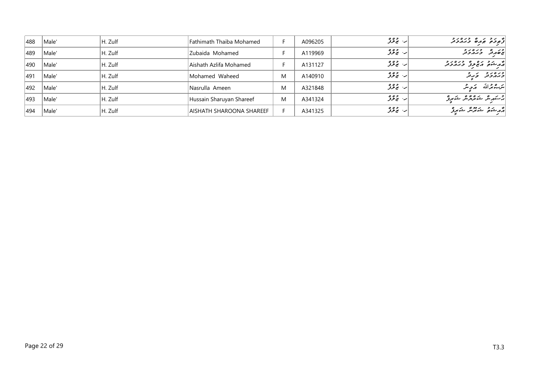| 488 | <i>Male'</i> | l H. Zulf | Fathimath Thaiba Mohamed |   | A096205 | ر. ج وو | و د د په دره د د              |
|-----|--------------|-----------|--------------------------|---|---------|---------|-------------------------------|
| 489 | Male'        | l H. Zulf | IZubaida Mohamed         |   | A119969 | ر. ج څو | ور و دره د د                  |
| 490 | Male'        | HH. Zulf  | Aishath Azlifa Mohamed   |   | A131127 | ر. ج وو | ه در ده ده در در د            |
| 491 | Male'        | HH. Zulf  | Mohamed Waheed           | M | A140910 | ر. ج څو | ورەرو دېرو                    |
| 492 | Male'        | l H. Zulf | Nasrulla Ameen           | M | A321848 | ر. ج څو | سَرَبْ مِمْرالله   مَرْحِيثَر |
| 493 | Male'        | H. Zulf   | Hussain Sharuyan Shareef | M | A341324 | ر. ج څو | 2سكەر شرىر مەكتەر شكەر ئى     |
| 494 | Male'        | l H. Zulf | AISHATH SHAROONA SHAREEF |   | A341325 | ر. ج څو | أأمر مشكر المستورثة المستورثة |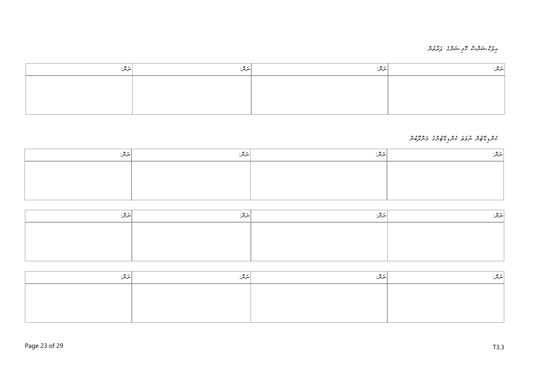## *w7qAn8m? sCw7mRo>u; wEw7mRw;sBo<*

| ' مرمر | 'يئرىثر: |
|--------|----------|
|        |          |
|        |          |
|        |          |

## *w7q9r@w7m> sCw7qHtFoFw7s; mAm=q7 w7qHtFoFw7s;*

| ىر تە | $\mathcal{O} \times$<br>$\sim$ | $\sim$<br>. . | لترنثر |
|-------|--------------------------------|---------------|--------|
|       |                                |               |        |
|       |                                |               |        |
|       |                                |               |        |

| انترنثر: | $^{\circ}$ | يبرهر | $^{\circ}$<br>سرسر |
|----------|------------|-------|--------------------|
|          |            |       |                    |
|          |            |       |                    |
|          |            |       |                    |

| ىرتىر: | 。<br>سر سر | .,<br>مرسر |
|--------|------------|------------|
|        |            |            |
|        |            |            |
|        |            |            |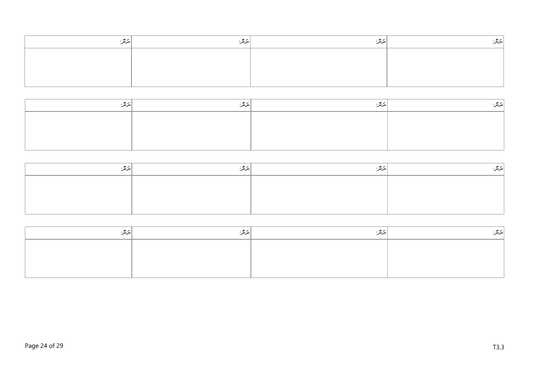| يزهر | $^{\circ}$ | ىئرىتر: |  |
|------|------------|---------|--|
|      |            |         |  |
|      |            |         |  |
|      |            |         |  |

| <sup>.</sup> سرسر. |  |
|--------------------|--|
|                    |  |
|                    |  |
|                    |  |

| ىئرىتر. | $\sim$ | ا بر هه. | لىرىش |
|---------|--------|----------|-------|
|         |        |          |       |
|         |        |          |       |
|         |        |          |       |

| 。<br>مرس. | $\overline{\phantom{a}}$<br>مر مىر | يتريثر |
|-----------|------------------------------------|--------|
|           |                                    |        |
|           |                                    |        |
|           |                                    |        |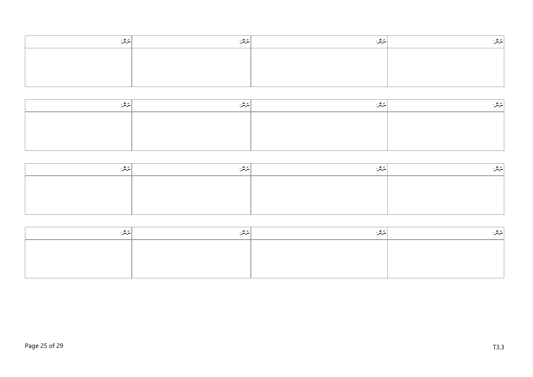| ير هو . | $\overline{\phantom{a}}$ | يرمر | اير هنه. |
|---------|--------------------------|------|----------|
|         |                          |      |          |
|         |                          |      |          |
|         |                          |      |          |

| ىر تىر: | $\circ$ $\sim$<br>" سرسر . | يترمير | o . |
|---------|----------------------------|--------|-----|
|         |                            |        |     |
|         |                            |        |     |
|         |                            |        |     |

| انترنثر: | ر ه |  |
|----------|-----|--|
|          |     |  |
|          |     |  |
|          |     |  |

|  | . ه |
|--|-----|
|  |     |
|  |     |
|  |     |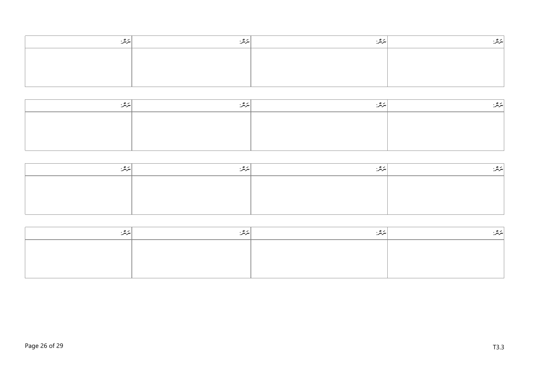| ير هو . | $\overline{\phantom{a}}$ | يرمر | اير هنه. |
|---------|--------------------------|------|----------|
|         |                          |      |          |
|         |                          |      |          |
|         |                          |      |          |

| ىر تىر: | $\circ$ $\sim$<br>" سرسر . | يترمير | o . |
|---------|----------------------------|--------|-----|
|         |                            |        |     |
|         |                            |        |     |
|         |                            |        |     |

| 'تترنثر: | 。<br>,,,, |  |
|----------|-----------|--|
|          |           |  |
|          |           |  |
|          |           |  |

|  | . ه |
|--|-----|
|  |     |
|  |     |
|  |     |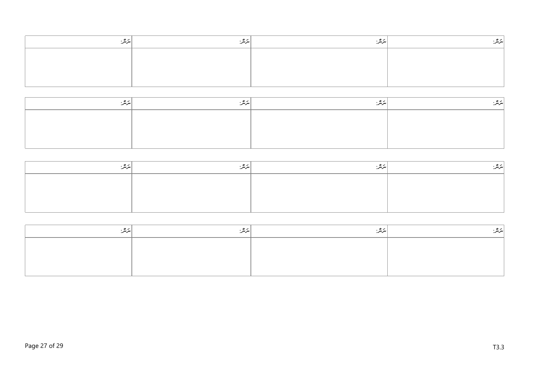| $\cdot$ | ο. | $\frac{\circ}{\cdot}$ | $\sim$<br>سرسر |
|---------|----|-----------------------|----------------|
|         |    |                       |                |
|         |    |                       |                |
|         |    |                       |                |

| ايرعر: | ر ه<br>. . |  |
|--------|------------|--|
|        |            |  |
|        |            |  |
|        |            |  |

| بر ه | 。 | $\overline{\phantom{0}}$<br>َ سومس. |  |
|------|---|-------------------------------------|--|
|      |   |                                     |  |
|      |   |                                     |  |
|      |   |                                     |  |

| 。<br>. س | ىرىىر |  |
|----------|-------|--|
|          |       |  |
|          |       |  |
|          |       |  |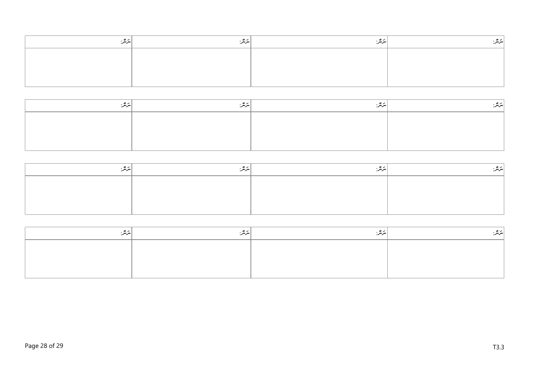| ير هو . | $\overline{\phantom{a}}$ | يرمر | لتزمثن |
|---------|--------------------------|------|--------|
|         |                          |      |        |
|         |                          |      |        |
|         |                          |      |        |

| ىر تىر: | $\circ$ $\sim$<br>" سرسر . | يترمير | o . |
|---------|----------------------------|--------|-----|
|         |                            |        |     |
|         |                            |        |     |
|         |                            |        |     |

| 'تترنثر: | 。<br>,,,, |  |
|----------|-----------|--|
|          |           |  |
|          |           |  |
|          |           |  |

|  | . ه |
|--|-----|
|  |     |
|  |     |
|  |     |